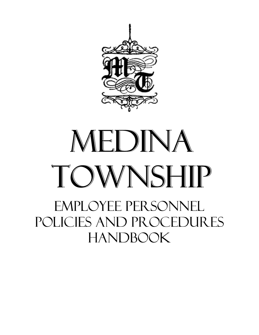

# MEDINA TOWNSHIP

EMPLOYEE PERSONNEL POLICIES AND PROCEDURES HANDBOOK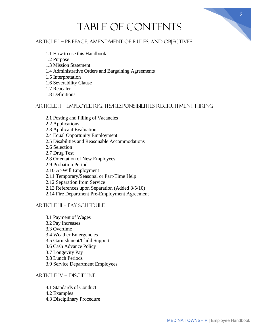# Table of Contents

## ARTICLE I – PREFACE, AMENDMENT OF RULES, AND OBJECTIVES

- 1.1 How to use this Handbook
- 1.2 Purpose
- 1.3 Mission Statement
- 1.4 Administrative Orders and Bargaining Agreements
- 1.5 Interpretation
- 1.6 Severability Clause
- 1.7 Repealer
- 1.8 Definitions

#### ARTICLE II – EMPLOYEE RIGHTS/RESPONSIBILITIES RECRUITMENT HIRING

- 2.1 Posting and Filling of Vacancies
- 2.2 Applications
- 2.3 Applicant Evaluation
- 2.4 Equal Opportunity Employment
- 2.5 Disabilities and Reasonable Accommodations
- 2.6 Selection
- 2.7 Drug Test
- 2.8 Orientation of New Employees
- 2.9 Probation Period
- 2.10 At-Will Employment
- 2.11 Temporary/Seasonal or Part-Time Help
- 2.12 Separation from Service
- 2.13 References upon Separation (Added 8/5/10)
- 2.14 Fire Department Pre-Employment Agreement

#### ARTICLE III – PAY SCHEDULE

- 3.1 Payment of Wages 3.2 Pay Increases 3.3 Overtime 3.4 Weather Emergencies 3.5 Garnishment/Child Support 3.6 Cash Advance Policy 3.7 Longevity Pay 3.8 Lunch Periods
- 3.9 Service Department Employees

#### ARTICLE IV – DISCIPLINE

- 4.1 Standards of Conduct
- 4.2 Examples
- 4.3 Disciplinary Procedure

2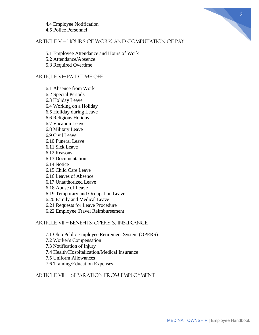4.4 Employee Notification 4.5 Police Personnel

#### ARTICLE V – HOURS OF WORK AND COMPUTATION OF PAY

5.1 Employee Attendance and Hours of Work

5.2 Attendance/Absence

5.3 Required Overtime

#### ARTICLE VI– PAID TIME OFF

6.1 Absence from Work 6.2 Special Periods 6.3 Holiday Leave 6.4 Working on a Holiday 6.5 Holiday during Leave 6.6 Religious Holiday 6.7 Vacation Leave 6.8 Military Leave 6.9 Civil Leave 6.10 Funeral Leave 6.11 Sick Leave 6.12 Reasons 6.13 Documentation 6.14 Notice 6.15 Child Care Leave 6.16 Leaves of Absence 6.17 Unauthorized Leave 6.18 Abuse of Leave 6.19 Temporary and Occupation Leave 6.20 Family and Medical Leave 6.21 Requests for Leave Procedure 6.22 Employee Travel Reimbursement

ARTICLE VII – BENEFITS: OPERS & INSURANCE

7.1 Ohio Public Employee Retirement System (OPERS) 7.2 Worker's Compensation

7.3 Notification of Injury

7.4 Health/Hospitalization/Medical Insurance

7.5 Uniform Allowances

7.6 Training/Education Expenses

ARTICLE VIII – SEPARATION FROM EMPLOYMENT

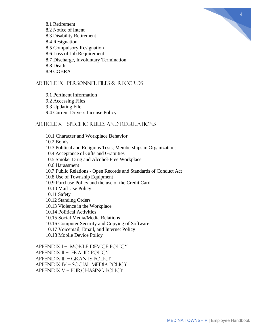

- 8.1 Retirement 8.2 Notice of Intent
- 8.3 Disability Retirement
- 8.4 Resignation
- 8.5 Compulsory Resignation
- 8.6 Loss of Job Requirement
- 8.7 Discharge, Involuntary Termination
- 8.8 Death
- 8.9 COBRA

## ARTICLE IX– PERSONNEL FILES & RECORDS

- 9.1 Pertinent Information 9.2 Accessing Files
- 9.3 Updating File
- 9.4 Current Drivers License Policy

## ARTICLE X – SPECIFIC RULES AND REGULATIONS

10.1 Character and Workplace Behavior 10.2 Bonds 10.3 Political and Religious Tests; Memberships in Organizations 10.4 Acceptance of Gifts and Gratuities 10.5 Smoke, Drug and Alcohol-Free Workplace 10.6 Harassment 10.7 Public Relations - Open Records and Standards of Conduct Act 10.8 Use of Township Equipment 10.9 Purchase Policy and the use of the Credit Card 10.10 Mail Use Policy 10.11 Safety 10.12 Standing Orders 10.13 Violence in the Workplace 10.14 Political Activities 10.15 Social Media/Media Relations 10.16 Computer Security and Copying of Software 10.17 Voicemail, Email, and Internet Policy 10.18 Mobile Device Policy APPENDIX I – MOBILE DEVICE POLICY

APPENDIX Ii – FRAUD POLICY APPENDIX IIi – GRANTS POLICY APPENDIX iV – SOCIAL MEDIA POLICY APPENDIX V – PURCHASING POLICY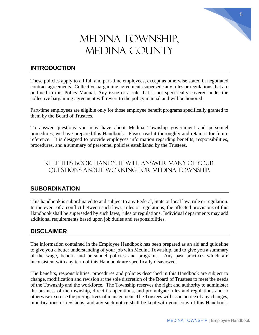## MEDINA TOWNSHIP, MEDINA COUNTY

## **INTRODUCTION**

These policies apply to all full and part-time employees, except as otherwise stated in negotiated contract agreements. Collective bargaining agreements supersede any rules or regulations that are outlined in this Policy Manual. Any issue or a rule that is not specifically covered under the collective bargaining agreement will revert to the policy manual and will be honored.

Part-time employees are eligible only for those employee benefit programs specifically granted to them by the Board of Trustees.

To answer questions you may have about Medina Township government and personnel procedures, we have prepared this Handbook. Please read it thoroughly and retain it for future reference. It is designed to provide employees information regarding benefits, responsibilities, procedures, and a summary of personnel policies established by the Trustees.

## Keep this book handy. It will answer many of your questions about working for Medina Township.

## **SUBORDINATION**

This handbook is subordinated to and subject to any Federal, State or local law, rule or regulation. In the event of a conflict between such laws, rules or regulations, the affected provisions of this Handbook shall be superseded by such laws, rules or regulations. Individual departments may add additional requirements based upon job duties and responsibilities.

## **DISCLAIMER**

The information contained in the Employee Handbook has been prepared as an aid and guideline to give you a better understanding of your job with Medina Township, and to give you a summary of the wage, benefit and personnel policies and programs. Any past practices which are inconsistent with any term of this Handbook are specifically disavowed.

The benefits, responsibilities, procedures and policies described in this Handbook are subject to change, modification and revision at the sole discretion of the Board of Trustees to meet the needs of the Township and the workforce. The Township reserves the right and authority to administer the business of the township, direct its operations, and promulgate rules and regulations and to otherwise exercise the prerogatives of management. The Trustees will issue notice of any changes, modifications or revisions, and any such notice shall be kept with your copy of this Handbook.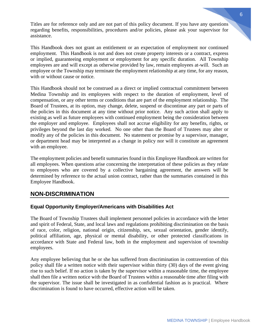Titles are for reference only and are not part of this policy document. If you have any questions regarding benefits, responsibilities, procedures and/or policies, please ask your supervisor for assistance.

This Handbook does not grant an entitlement or an expectation of employment nor continued employment. This Handbook is not and does not create property interests or a contract, express or implied, guaranteeing employment or employment for any specific duration. All Township employees are and will except as otherwise provided by law, remain employees at-will. Such an employee or the Township may terminate the employment relationship at any time, for any reason, with or without cause or notice.

This Handbook should not be construed as a direct or implied contractual commitment between Medina Township and its employees with respect to the duration of employment, level of compensation, or any other terms or conditions that are part of the employment relationship. The Board of Trustees, at its option, may change, delete, suspend or discontinue any part or parts of the policies in this document at any time without prior notice. Any such action shall apply to existing as well as future employees with continued employment being the consideration between the employer and employee. Employees shall not accrue eligibility for any benefits, rights, or privileges beyond the last day worked. No one other than the Board of Trustees may alter or modify any of the policies in this document. No statement or promise by a supervisor, manager, or department head may be interpreted as a change in policy nor will it constitute an agreement with an employee.

The employment policies and benefit summaries found in this Employee Handbook are written for all employees. When questions arise concerning the interpretation of these policies as they relate to employees who are covered by a collective bargaining agreement, the answers will be determined by reference to the actual union contract, rather than the summaries contained in this Employee Handbook.

## **NON-DISCRIMINATION**

#### **Equal Opportunity Employer/Americans with Disabilities Act**

The Board of Township Trustees shall implement personnel policies in accordance with the letter and spirit of Federal, State, and local laws and regulations prohibiting discrimination on the basis of race, color, religion, national origin, citizenship, sex, sexual orientation, gender identify, political affiliation, age, physical or mental disability, or other protected classifications in accordance with State and Federal law, both in the employment and supervision of township employees.

Any employee believing that he or she has suffered from discrimination in contravention of this policy shall file a written notice with their supervisor within thirty (30) days of the event giving rise to such belief. If no action is taken by the supervisor within a reasonable time, the employee shall then file a written notice with the Board of Trustees within a reasonable time after filing with the supervisor. The issue shall be investigated in as confidential fashion as is practical. Where discrimination is found to have occurred, effective action will be taken.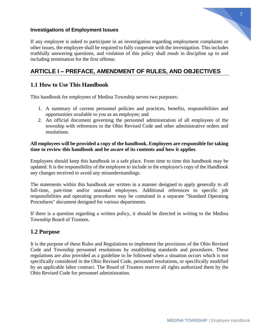

#### **Investigations of Employment Issues**

If any employee is asked to participate in an investigation regarding employment complaints or other issues, the employee shall be required to fully cooperate with the investigation. This includes truthfully answering questions, and violation of this policy shall result in discipline up to and including termination for the first offense.

## **ARTICLE I – PREFACE, AMENDMENT OF RULES, AND OBJECTIVES**

## **1.1 How to Use This Handbook**

This handbook for employees of Medina Township serves two purposes:

- 1. A summary of current personnel policies and practices, benefits, responsibilities and opportunities available to you as an employee; and
- 2. An official document governing the personnel administration of all employees of the township with references to the Ohio Revised Code and other administrative orders and resolutions.

#### **All employees will be provided a copy of the handbook. Employees are responsible for taking time to review this handbook and be aware of its contents and how it applies**.

Employees should keep this handbook in a safe place. From time to time this handbook may be updated. It is the responsibility of the employee to include in the employee's copy of the Handbook any changes received to avoid any misunderstandings.

The statements within this handbook are written in a manner designed to apply generally to all full-time, part-time and/or seasonal employees. Additional references to specific job responsibilities and operating procedures may be contained in a separate "Standard Operating Procedures" document designed for various departments.

If there is a question regarding a written policy, it should be directed in writing to the Medina Township Board of Trustees.

#### **1.2 Purpose**

It is the purpose of these Rules and Regulations to implement the provisions of the Ohio Revised Code and Township personnel resolutions by establishing standards and procedures. These regulations are also provided as a guideline to be followed when a situation occurs which is not specifically considered in the Ohio Revised Code, personnel resolutions, or specifically modified by an applicable labor contract. The Board of Trustees reserve all rights authorized them by the Ohio Revised Code for personnel administration.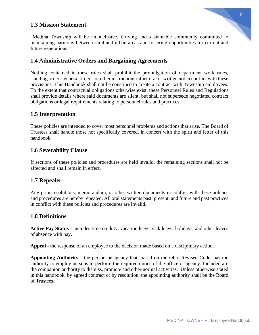#### **1.3 Mission Statement**

"Medina Township will be an inclusive, thriving and sustainable community committed to maintaining harmony between rural and urban areas and fostering opportunities for current and future generations."

#### **1.4 Administrative Orders and Bargaining Agreements**

Nothing contained in these rules shall prohibit the promulgation of department work rules, standing orders, general orders, or other instructions either oral or written not in conflict with these provisions. This Handbook shall not be construed to create a contract with Township employees. To the extent that contractual obligations otherwise exist, these Personnel Rules and Regulations shall provide details where said documents are silent, but shall not supersede negotiated contract obligations or legal requirements relating to personnel rules and practices.

#### **1.5 Interpretation**

These policies are intended to cover most personnel problems and actions that arise. The Board of Trustees shall handle those not specifically covered, in concert with the spirit and letter of this handbook.

#### **1.6 Severability Clause**

If sections of these policies and procedures are held invalid, the remaining sections shall not be affected and shall remain in effect.

#### **1.7 Repealer**

Any prior resolutions, memorandum, or other written documents in conflict with these policies and procedures are hereby repealed. All oral statements past, present, and future and past practices in conflict with these policies and procedures are invalid.

#### **1.8 Definitions**

**Active Pay Status** - includes time on duty, vacation leave, sick leave, holidays, and other leaves of absence with pay.

**Appeal** - the response of an employee to the decision made based on a disciplinary action.

**Appointing Authority** - the person or agency that, based on the Ohio Revised Code, has the authority to employ persons to perform the required duties of the office or agency. Included are the companion authority to dismiss, promote and other normal activities. Unless otherwise stated in this handbook, by agreed contract or by resolution, the appointing authority shall be the Board of Trustees.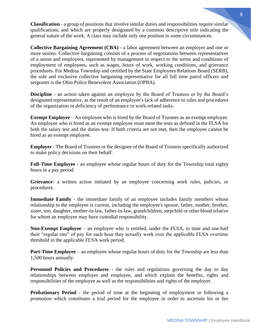**Classification** - a group of positions that involve similar duties and responsibilities require similar qualifications, and which are properly designated by a common descriptive title indicating the general nature of the work. A class may include only one position in some circumstances.

**Collective Bargaining Agreement (CBA)** - a labor agreement between an employer and one or more unions. Collective bargaining consists of a process of negotiations between representatives of a union and employers, represented by management in respect to the terms and conditions of employment of employees, such as wages, hours of work, working conditions, and grievance procedures. For Medina Township and certified by the State Employees Relations Board (SERB), the sole and exclusive collective bargaining representative for all full time patrol officers and sergeants is the Ohio Police Benevolent Association (OPBA).

**Discipline** - an action taken against an employee by the Board of Trustees or by the Board's designated representative, as the result of an employee's lack of adherence to rules and procedures of the organization or deficiency of performance in work-related tasks.

**Exempt Employee** – An employee who is hired by the Board of Trustees as an exempt employee. An employee who is hired as an exempt employee must meet the tests as defined in the FLSA for both the salary test and the duties test. If both criteria are not met, then the employee cannot be hired as an exempt employee.

**Employer** - The Board of Trustees or the designee of the Board of Trustees specifically authorized to make policy decisions on their behalf.

**Full-Time Employee** - an employee whose regular hours of duty for the Township total eighty hours in a pay period.

**Grievance**- a written action initiated by an employee concerning work rules, policies, or procedures.

**Immediate Family** - the immediate family of an employee includes family members whose relationship to the employee is current, including the employee's spouse, father, mother, brother, sister, son, daughter, mother-in-law, father-in-law, grandchildren, stepchild or other blood relative for whom an employee may have custodial responsibility.

**Non-Exempt Employee** – an employee who is entitled, under the FLSA, to time and one-half their "regular rate" of pay for each hour they actually work over the applicable FLSA overtime threshold in the applicable FLSA work period.

**Part-Time Employee** – an employee whose regular hours of duty for the Township are less than 1,500 hours annually.

**Personnel Policies and Procedures** - the rules and regulations governing the day to day relationships between employer and employee, and which explain the benefits, rights and responsibilities of the employee as well as the responsibilities and rights of the employer.

**Probationary Period** - the period of time at the beginning of employment or following a promotion which constitutes a trial period for the employee in order to ascertain his or her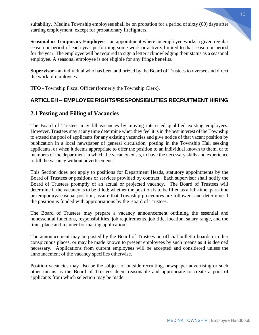MEDINA TOWNSHIP | Employee Handbook

suitability. Medina Township employees shall be on probation for a period of sixty (60) days after starting employment, except for probationary firefighters.

**Seasonal or Temporary Employee** – an appointment where an employee works a given regular season or period of each year performing some work or activity limited to that season or period for the year. The employee will be required to sign a letter acknowledging their status as a seasonal employee. A seasonal employee is not eligible for any fringe benefits.

**Supervisor** - an individual who has been authorized by the Board of Trustees to oversee and direct the work of employees.

**TFO** - Township Fiscal Officer (formerly the Township Clerk).

## **ARTICLE II – EMPLOYEE RIGHTS/RESPONSIBILITIES RECRUITMENT HIRING**

## **2.1 Posting and Filling of Vacancies**

The Board of Trustees may fill vacancies by moving interested qualified existing employees. However, Trustees may at any time determine when they feel it is in the best interest of the Township to extend the pool of applicants for any existing vacancies and give notice of that vacant position by publication in a local newspaper of general circulation, posting in the Township Hall seeking applicants, or when it deems appropriate to offer the position to an individual known to them, or to members of the department in which the vacancy exists, to have the necessary skills and experience to fill the vacancy without advertisement.

This Section does not apply to positions for Department Heads, statutory appointments by the Board of Trustees or positions or services provided by contract. Each supervisor shall notify the Board of Trustees promptly of an actual or projected vacancy. The Board of Trustees will determine if the vacancy is to be filled; whether the position is to be filled as a full-time, part-time or temporary/seasonal position; assure that Township procedures are followed; and determine if the position is funded with appropriations by the Board of Trustees.

The Board of Trustees may prepare a vacancy announcement outlining the essential and nonessential functions, responsibilities, job requirements, job title, location, salary range, and the time, place and manner for making application.

The announcement may be posted by the Board of Trustees on official bulletin boards or other conspicuous places, or may be made known to present employees by such means as it is deemed necessary. Applications from current employees will be accepted and considered unless the announcement of the vacancy specifies otherwise.

Position vacancies may also be the subject of outside recruiting, newspaper advertising or such other means as the Board of Trustees deem reasonable and appropriate to create a pool of applicants from which selection may be made.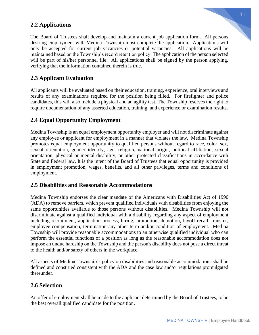## **2.2 Applications**

The Board of Trustees shall develop and maintain a current job application form. All persons desiring employment with Medina Township must complete the application. Applications will only be accepted for current job vacancies or potential vacancies. All applications will be maintained based on the Township's record retention policy. The application of the person selected will be part of his/her personnel file. All applications shall be signed by the person applying, verifying that the information contained therein is true.

## **2.3 Applicant Evaluation**

All applicants will be evaluated based on their education, training, experience, oral interviews and results of any examinations required for the position being filled. For firefighter and police candidates, this will also include a physical and an agility test. The Township reserves the right to require documentation of any asserted education, training, and experience or examination results.

#### **2.4 Equal Opportunity Employment**

Medina Township is an equal employment opportunity employer and will not discriminate against any employee or applicant for employment in a manner that violates the law. Medina Township promotes equal employment opportunity to qualified persons without regard to race, color, sex, sexual orientation, gender identify, age, religion, national origin, political affiliation, sexual orientation, physical or mental disability, or other protected classifications in accordance with State and Federal law. It is the intent of the Board of Trustees that equal opportunity is provided in employment promotion, wages, benefits, and all other privileges, terms and conditions of employment.

#### **2.5 Disabilities and Reasonable Accommodations**

Medina Township endorses the clear mandate of the Americans with Disabilities Act of 1990 (ADA) to remove barriers, which prevent qualified individuals with disabilities from enjoying the same opportunities available to those persons without disabilities. Medina Township will not discriminate against a qualified individual with a disability regarding any aspect of employment including recruitment, application process, hiring, promotion, demotion, layoff recall, transfer, employee compensation, termination any other term and/or condition of employment. Medina Township will provide reasonable accommodations to an otherwise qualified individual who can perform the essential functions of a position as long as the reasonable accommodation does not impose an undue hardship on the Township and the person's disability does not pose a direct threat to the health and/or safety of others in the workplace.

All aspects of Medina Township's policy on disabilities and reasonable accommodations shall be defined and construed consistent with the ADA and the case law and/or regulations promulgated thereunder.

#### **2.6 Selection**

An offer of employment shall be made to the applicant determined by the Board of Trustees, to be the best overall qualified candidate for the position.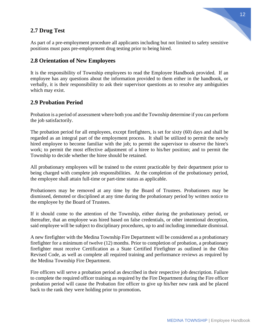## **2.7 Drug Test**



As part of a pre-employment procedure all applicants including but not limited to safety sensitive positions must pass pre-employment drug testing prior to being hired.

#### **2.8 Orientation of New Employees**

It is the responsibility of Township employees to read the Employee Handbook provided. If an employee has any questions about the information provided to them either in the handbook, or verbally, it is their responsibility to ask their supervisor questions as to resolve any ambiguities which may exist.

#### **2.9 Probation Period**

Probation is a period of assessment where both you and the Township determine if you can perform the job satisfactorily.

The probation period for all employees, except firefighters, is set for sixty (60) days and shall be regarded as an integral part of the employment process. It shall be utilized to permit the newly hired employee to become familiar with the job; to permit the supervisor to observe the hiree's work; to permit the most effective adjustment of a hiree to his/her position; and to permit the Township to decide whether the hiree should be retained.

All probationary employees will be trained to the extent practicable by their department prior to being charged with complete job responsibilities. At the completion of the probationary period, the employee shall attain full-time or part-time status as applicable.

Probationers may be removed at any time by the Board of Trustees. Probationers may be dismissed, demoted or disciplined at any time during the probationary period by written notice to the employee by the Board of Trustees.

If it should come to the attention of the Township, either during the probationary period, or thereafter, that an employee was hired based on false credentials, or other intentional deception, said employee will be subject to disciplinary procedures, up to and including immediate dismissal.

A new firefighter with the Medina Township Fire Department will be considered as a probationary firefighter for a minimum of twelve (12) months. Prior to completion of probation, a probationary firefighter must receive Certification as a State Certified Firefighter as outlined in the Ohio Revised Code, as well as complete all required training and performance reviews as required by the Medina Township Fire Department.

Fire officers will serve a probation period as described in their respective job description. Failure to complete the required officer training as required by the Fire Department during the Fire officer probation period will cause the Probation fire officer to give up his/her new rank and be placed back to the rank they were holding prior to promotion**.**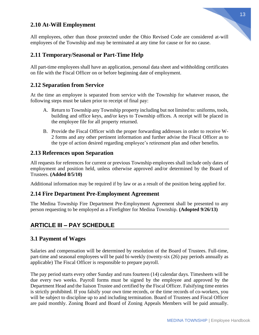## **2.10 At-Will Employment**

All employees, other than those protected under the Ohio Revised Code are considered at-will employees of the Township and may be terminated at any time for cause or for no cause.

## **2.11 Temporary/Seasonal or Part-Time Help**

All part-time employees shall have an application, personal data sheet and withholding certificates on file with the Fiscal Officer on or before beginning date of employment.

#### **2.12 Separation from Service**

At the time an employee is separated from service with the Township for whatever reason, the following steps must be taken prior to receipt of final pay:

- A. Return to Township any Township property including but not limited to: uniforms, tools, building and office keys, and/or keys to Township offices. A receipt will be placed in the employee file for all property returned.
- B. Provide the Fiscal Officer with the proper forwarding addresses in order to receive W-2 forms and any other pertinent information and further advise the Fiscal Officer as to the type of action desired regarding employee's retirement plan and other benefits.

#### **2.13 References upon Separation**

All requests for references for current or previous Township employees shall include only dates of employment and position held, unless otherwise approved and/or determined by the Board of Trustees. **(Added 8/5/10)**

Additional information may be required if by law or as a result of the position being applied for.

#### **2.14 Fire Department Pre-Employment Agreement**

The Medina Township Fire Department Pre-Employment Agreement shall be presented to any person requesting to be employed as a Firefighter for Medina Township. **(Adopted 9/26/13)**

## **ARTICLE III – PAY SCHEDULE**

#### **3.1 Payment of Wages**

Salaries and compensation will be determined by resolution of the Board of Trustees. Full-time, part-time and seasonal employees will be paid bi-weekly (twenty-six (26) pay periods annually as applicable) The Fiscal Officer is responsible to prepare payroll.

The pay period starts every other Sunday and runs fourteen (14) calendar days. Timesheets will be due every two weeks. Payroll forms must be signed by the employee and approved by the Department Head and the liaison Trustee and certified by the Fiscal Officer. Falsifying time entries is strictly prohibited. If you falsify your own time records, or the time records of co-workers, you will be subject to discipline up to and including termination. Board of Trustees and Fiscal Officer are paid monthly. Zoning Board and Board of Zoning Appeals Members will be paid annually.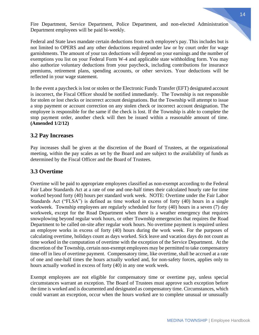Fire Department, Service Department, Police Department, and non-elected Administration Department employees will be paid bi-weekly.

Federal and State laws mandate certain deductions from each employee's pay. This includes but is not limited to OPERS and any other deductions required under law or by court order for wage garnishments. The amount of your tax deductions will depend on your earnings and the number of exemptions you list on your Federal Form W-4 and applicable state withholding form. You may also authorize voluntary deductions from your paycheck, including contributions for insurance premiums, retirement plans, spending accounts, or other services. Your deductions will be reflected in your wage statement.

In the event a paycheck is lost or stolen or the Electronic Funds Transfer (EFT) designated account is incorrect, the Fiscal Officer should be notified immediately. The Township is not responsible for stolen or lost checks or incorrect account designations. But the Township will attempt to issue a stop payment or account correction on any stolen check or incorrect account designation. The employee is responsible for the same if the check is lost. If the Township is able to complete the stop payment order, another check will then be issued within a reasonable amount of time. **(Amended 1/2/12)**

## **3.2 Pay Increases**

Pay increases shall be given at the discretion of the Board of Trustees, at the organizational meeting, within the pay scales as set by the Board and are subject to the availability of funds as determined by the Fiscal Officer and the Board of Trustees.

## **3.3 Overtime**

Overtime will be paid to appropriate employees classified as non-exempt according to the Federal Fair Labor Standards Act at a rate of one and one-half times their calculated hourly rate for time worked beyond forty (40) hours per standard work week. NOTE: Overtime under the Fair Labor Standards Act ("FLSA") is defined as time worked in excess of forty (40) hours in a single workweek. Township employees are regularly scheduled for forty (40) hours in a seven (7) day workweek, except for the Road Department when there is a weather emergency that requires snowplowing beyond regular work hours, or other Township emergencies that requires the Road Department to be called on-site after regular work hours. No overtime payment is required unless an employee works in excess of forty (40) hours during the work week. For the purposes of calculating overtime, holidays count as days worked. Sick leave and vacation days do not count as time worked in the computation of overtime with the exception of the Service Department. At the discretion of the Township, certain non-exempt employees may be permitted to take compensatory time-off in lieu of overtime payment. Compensatory time, like overtime, shall be accrued at a rate of one and one-half times the hours actually worked and, for non-safety forces, applies only to hours actually worked in excess of forty (40) in any one work week.

Exempt employees are not eligible for compensatory time or overtime pay, unless special circumstances warrant an exception. The Board of Trustees must approve such exception before the time is worked and is documented and designated as compensatory time. Circumstances, which could warrant an exception, occur when the hours worked are to complete unusual or unusually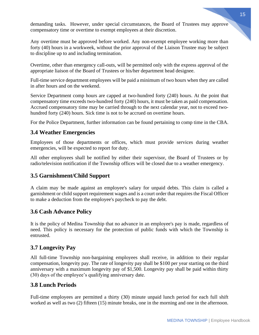demanding tasks. However, under special circumstances, the Board of Trustees may approve compensatory time or overtime to exempt employees at their discretion.

Any overtime must be approved before worked. Any non-exempt employee working more than forty (40) hours in a workweek, without the prior approval of the Liaison Trustee may be subject to discipline up to and including termination.

Overtime, other than emergency call-outs, will be permitted only with the express approval of the appropriate liaison of the Board of Trustees or his/her department head designee.

Full-time service department employees will be paid a minimum of two hours when they are called in after hours and on the weekend.

Service Department comp hours are capped at two-hundred forty (240) hours. At the point that compensatory time exceeds two-hundred forty (240) hours, it must be taken as paid compensation. Accrued compensatory time may be carried through to the next calendar year, not to exceed twohundred forty (240) hours. Sick time is not to be accrued on overtime hours.

For the Police Department, further information can be found pertaining to comp time in the CBA.

## **3.4 Weather Emergencies**

Employees of those departments or offices, which must provide services during weather emergencies, will be expected to report for duty.

All other employees shall be notified by either their supervisor, the Board of Trustees or by radio/television notification if the Township offices will be closed due to a weather emergency.

#### **3.5 Garnishment/Child Support**

A claim may be made against an employee's salary for unpaid debts. This claim is called a garnishment or child support requirement wages and is a court order that requires the Fiscal Officer to make a deduction from the employee's paycheck to pay the debt.

#### **3.6 Cash Advance Policy**

It is the policy of Medina Township that no advance in an employee's pay is made, regardless of need. This policy is necessary for the protection of public funds with which the Township is entrusted.

## **3.7 Longevity Pay**

All full-time Township non-bargaining employees shall receive, in addition to their regular compensation, longevity pay. The rate of longevity pay shall be \$100 per year starting on the third anniversary with a maximum longevity pay of \$1,500. Longevity pay shall be paid within thirty (30) days of the employee's qualifying anniversary date.

## **3.8 Lunch Periods**

Full-time employees are permitted a thirty (30) minute unpaid lunch period for each full shift worked as well as two (2) fifteen (15) minute breaks, one in the morning and one in the afternoon.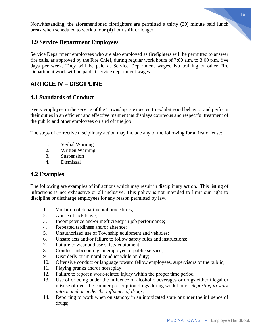Notwithstanding, the aforementioned firefighters are permitted a thirty (30) minute paid lunch break when scheduled to work a four (4) hour shift or longer.

## **3.9 Service Department Employees**

Service Department employees who are also employed as firefighters will be permitted to answer fire calls, as approved by the Fire Chief, during regular work hours of 7:00 a.m. to 3:00 p.m. five days per week. They will be paid at Service Department wages. No training or other Fire Department work will be paid at service department wages.

## **ARTICLE IV – DISCIPLINE**

## **4.1 Standards of Conduct**

Every employee in the service of the Township is expected to exhibit good behavior and perform their duties in an efficient and effective manner that displays courteous and respectful treatment of the public and other employees on and off the job.

The steps of corrective disciplinary action may include any of the following for a first offense:

- 1. Verbal Warning
- 2. Written Warning
- 3. Suspension
- 4. Dismissal

#### **4.2 Examples**

The following are examples of infractions which may result in disciplinary action. This listing of infractions is not exhaustive or all inclusive. This policy is not intended to limit our right to discipline or discharge employees for any reason permitted by law.

- 1. Violation of departmental procedures;
- 2. Abuse of sick leave;
- 3. Incompetence and/or inefficiency in job performance;
- 4. Repeated tardiness and/or absence;
- 5. Unauthorized use of Township equipment and vehicles;
- 6. Unsafe acts and/or failure to follow safety rules and instructions;
- 7. Failure to wear and use safety equipment;
- 8. Conduct unbecoming an employee of public service;
- 9. Disorderly or immoral conduct while on duty;
- 10. Offensive conduct or language toward fellow employees, supervisors or the public;
- 11. Playing pranks and/or horseplay;
- 12. Failure to report a work-related injury within the proper time period
- 13. Use of or being under the influence of alcoholic beverages or drugs either illegal or misuse of over the-counter prescription drugs during work hours. *Reporting to work intoxicated or under the influence of drugs;*
- 14. Reporting to work when on standby in an intoxicated state or under the influence of drugs;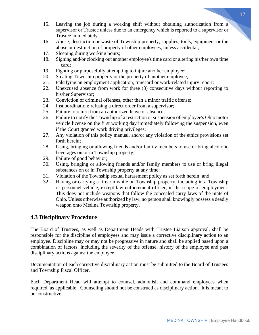- 15. Leaving the job during a working shift without obtaining authorization from a supervisor or Trustee unless due to an emergency which is reported to a supervisor or Trustee immediately.
- 16. Abuse, destruction or waste of Township property, supplies, tools, equipment or the abuse or destruction of property of other employees, unless accidental;
- 17. Sleeping during working hours;
- 18. Signing and/or clocking out another employee's time card or altering his/her own time card;
- 19. Fighting or purposefully attempting to injure another employee;
- 20. Stealing Township property or the property of another employee;
- 21. Falsifying an employment application, timecard or work-related injury report;
- 22. Unexcused absence from work for three (3) consecutive days without reporting to his/her Supervisor;
- 23. Conviction of criminal offenses, other than a minor traffic offense;
- 24. Insubordination: refusing a direct order from a supervisor;
- 25. Failure to return from an authorized leave of absence;
- 26. Failure to notify the Township of a restriction or suspension of employee's Ohio motor vehicle license on the first working day immediately following the suspension, even if the Court granted work driving privileges;
- 27. Any violation of this policy manual, and/or any violation of the ethics provisions set forth herein;
- 28. Using, bringing or allowing friends and/or family members to use or bring alcoholic beverages on or in Township property;
- 29. Failure of good behavior;
- 30. Using, bringing or allowing friends and/or family members to use or bring illegal substances on or in Township property at any time;
- 31. Violation of the Township sexual harassment policy as set forth herein; and
- 32. Having or carrying a firearm while on Township property, including in a Township or personnel vehicle, except law enforcement officer, in the scope of employment. This does not include weapons that follow the concealed carry laws of the State of Ohio. Unless otherwise authorized by law, no person shall knowingly possess a deadly weapon onto Medina Township property.

## **4.3 Disciplinary Procedure**

The Board of Trustees, as well as Department Heads with Trustee Liaison approval, shall be responsible for the discipline of employees and may issue a corrective disciplinary action to an employee. Discipline may or may not be progressive in nature and shall be applied based upon a combination of factors, including the severity of the offense, history of the employee and past disciplinary actions against the employee.

Documentation of each corrective disciplinary action must be submitted to the Board of Trustees and Township Fiscal Officer.

Each Department Head will attempt to counsel, admonish and command employees when required, as applicable. Counseling should not be construed as disciplinary action. It is meant to be constructive.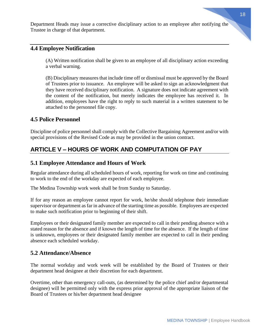Department Heads may issue a corrective disciplinary action to an employee after notifying the Trustee in charge of that department.

## **4.4 Employee Notification**

(A) Written notification shall be given to an employee of all disciplinary action exceeding a verbal warning.

(B) Disciplinary measures that include time off or dismissal must be approved by the Board of Trustees prior to issuance. An employee will be asked to sign an acknowledgment that they have received disciplinary notification. A signature does not indicate agreement with the content of the notification, but merely indicates the employee has received it. In addition, employees have the right to reply to such material in a written statement to be attached to the personnel file copy.

#### **4.5 Police Personnel**

Discipline of police personnel shall comply with the Collective Bargaining Agreement and/or with special provisions of the Revised Code as may be provided in the union contract.

## **ARTICLE V – HOURS OF WORK AND COMPUTATION OF PAY**

#### **5.1 Employee Attendance and Hours of Work**

Regular attendance during all scheduled hours of work, reporting for work on time and continuing to work to the end of the workday are expected of each employee.

The Medina Township work week shall be from Sunday to Saturday.

If for any reason an employee cannot report for work, he/she should telephone their immediate supervisor or department as far in advance of the starting time as possible. Employees are expected to make such notification prior to beginning of their shift.

Employees or their designated family member are expected to call in their pending absence with a stated reason for the absence and if known the length of time for the absence. If the length of time is unknown, employees or their designated family member are expected to call in their pending absence each scheduled workday.

#### **5.2 Attendance/Absence**

The normal workday and work week will be established by the Board of Trustees or their department head designee at their discretion for each department.

Overtime, other than emergency call-outs, (as determined by the police chief and/or departmental designee) will be permitted only with the express prior approval of the appropriate liaison of the Board of Trustees or his/her department head designee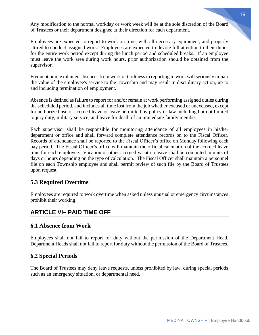Any modification to the normal workday or work week will be at the sole discretion of the Board of Trustees or their department designee at their direction for each department.

Employees are expected to report to work on time, with all necessary equipment, and properly attired to conduct assigned work. Employees are expected to devote full attention to their duties for the entire work period except during the lunch period and scheduled breaks. If an employee must leave the work area during work hours, prior authorization should be obtained from the supervisor.

Frequent or unexplained absences from work or tardiness in reporting to work will seriously impair the value of the employee's service to the Township and may result in disciplinary action, up to and including termination of employment.

Absence is defined as failure to report for and/or remain at work performing assigned duties during the scheduled period, and includes all time lost from the job whether excused or unexcused, except for authorized use of accrued leave or leave permitted by policy or law including but not limited to jury duty, military service, and leave for death of an immediate family member.

Each supervisor shall be responsible for monitoring attendance of all employees in his/her department or office and shall forward complete attendance records on to the Fiscal Officer. Records of attendance shall be reported to the Fiscal Officer's office on Monday following each pay period. The Fiscal Officer's office will maintain the official calculation of the accrued leave time for each employee. Vacation or other accrued vacation leave shall be computed in units of days or hours depending on the type of calculation. The Fiscal Officer shall maintain a personnel file on each Township employee and shall permit review of such file by the Board of Trustees upon request.

## **5.3 Required Overtime**

Employees are required to work overtime when asked unless unusual or emergency circumstances prohibit their working.

## **ARTICLE VI– PAID TIME OFF**

## **6.1 Absence from Work**

Employees shall not fail to report for duty without the permission of the Department Head. Department Heads shall not fail to report for duty without the permission of the Board of Trustees.

## **6.2 Special Periods**

The Board of Trustees may deny leave requests, unless prohibited by law, during special periods such as an emergency situation, or departmental need.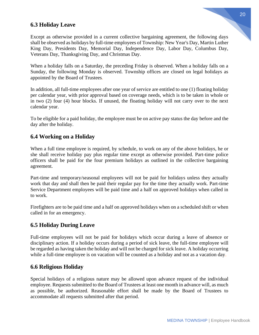## **6.3 Holiday Leave**

Except as otherwise provided in a current collective bargaining agreement, the following days shall be observed as holidays by full-time employees of Township: New Year's Day, Martin Luther King Day, Presidents Day, Memorial Day, Independence Day, Labor Day, Columbus Day, Veterans Day, Thanksgiving Day, and Christmas Day.

When a holiday falls on a Saturday, the preceding Friday is observed. When a holiday falls on a Sunday, the following Monday is observed. Township offices are closed on legal holidays as appointed by the Board of Trustees.

In addition, all full-time employees after one year of service are entitled to one (1) floating holiday per calendar year, with prior approval based on coverage needs, which is to be taken in whole or in two (2) four (4) hour blocks. If unused, the floating holiday will not carry over to the next calendar year.

To be eligible for a paid holiday, the employee must be on active pay status the day before and the day after the holiday.

## **6.4 Working on a Holiday**

When a full time employee is required, by schedule, to work on any of the above holidays, he or she shall receive holiday pay plus regular time except as otherwise provided. Part-time police officers shall be paid for the four premium holidays as outlined in the collective bargaining agreement.

Part-time and temporary/seasonal employees will not be paid for holidays unless they actually work that day and shall then be paid their regular pay for the time they actually work. Part-time Service Department employees will be paid time and a half on approved holidays when called in to work.

Firefighters are to be paid time and a half on approved holidays when on a scheduled shift or when called in for an emergency.

#### **6.5 Holiday During Leave**

Full-time employees will not be paid for holidays which occur during a leave of absence or disciplinary action. If a holiday occurs during a period of sick leave, the full-time employee will be regarded as having taken the holiday and will not be charged for sick leave. A holiday occurring while a full-time employee is on vacation will be counted as a holiday and not as a vacation day.

## **6.6 Religious Holiday**

Special holidays of a religious nature may be allowed upon advance request of the individual employee. Requests submitted to the Board of Trustees at least one month in advance will, as much as possible, be authorized. Reasonable effort shall be made by the Board of Trustees to accommodate all requests submitted after that period.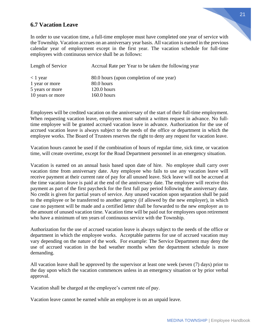#### **6.7 Vacation Leave**

In order to use vacation time, a full-time employee must have completed one year of service with the Township. Vacation accrues on an anniversary year basis. All vacation is earned in the previous calendar year of employment except in the first year. The vacation schedule for full-time employees with continuous service shall be as follows:

| Length of Service | Accrual Rate per Year to be taken the following year |
|-------------------|------------------------------------------------------|
| $<$ 1 year        | 80.0 hours (upon completion of one year)             |
| 1 year or more    | 80.0 hours                                           |
| 5 years or more   | $120.0$ hours                                        |
| 10 years or more  | $160.0$ hours                                        |

Employees will be credited vacation on the anniversary of the start of their full-time employment. When requesting vacation leave, employees must submit a written request in advance. No fulltime employee will be granted accrued vacation leave in advance. Authorization for the use of accrued vacation leave is always subject to the needs of the office or department in which the employee works. The Board of Trustees reserves the right to deny any request for vacation leave.

Vacation hours cannot be used if the combination of hours of regular time, sick time, or vacation time, will create overtime, except for the Road Department personnel in an emergency situation.

Vacation is earned on an annual basis based upon date of hire. No employee shall carry over vacation time from anniversary date. Any employee who fails to use any vacation leave will receive payment at their current rate of pay for all unused leave. Sick leave will not be accrued at the time vacation leave is paid at the end of the anniversary date. The employee will receive this payment as part of the first paycheck for the first full pay period following the anniversary date. No credit is given for partial years of service. Any unused vacation upon separation shall be paid to the employee or be transferred to another agency (if allowed by the new employer), in which case no payment will be made and a certified letter shall be forwarded to the new employer as to the amount of unused vacation time. Vacation time will be paid out for employees upon retirement who have a minimum of ten years of continuous service with the Township.

Authorization for the use of accrued vacation leave is always subject to the needs of the office or department in which the employee works. Acceptable patterns for use of accrued vacation may vary depending on the nature of the work. For example: The Service Department may deny the use of accrued vacation in the bad weather months when the department schedule is more demanding.

All vacation leave shall be approved by the supervisor at least one week (seven (7) days) prior to the day upon which the vacation commences unless in an emergency situation or by prior verbal approval.

Vacation shall be charged at the employee's current rate of pay.

Vacation leave cannot be earned while an employee is on an unpaid leave.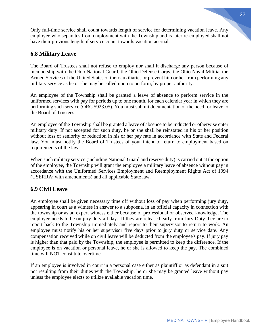Only full-time service shall count towards length of service for determining vacation leave. Any employee who separates from employment with the Township and is later re-employed shall not have their previous length of service count towards vacation accrual.

## **6.8 Military Leave**

The Board of Trustees shall not refuse to employ nor shall it discharge any person because of membership with the Ohio National Guard, the Ohio Defense Corps, the Ohio Naval Militia, the Armed Services of the United States or their auxiliaries or prevent him or her from performing any military service as he or she may be called upon to perform, by proper authority.

An employee of the Township shall be granted a leave of absence to perform service in the uniformed services with pay for periods up to one month, for each calendar year in which they are performing such service (ORC 5923.05). You must submit documentation of the need for leave to the Board of Trustees.

An employee of the Township shall be granted a leave of absence to be inducted or otherwise enter military duty. If not accepted for such duty, he or she shall be reinstated in his or her position without loss of seniority or reduction in his or her pay rate in accordance with State and Federal law. You must notify the Board of Trustees of your intent to return to employment based on requirements of the law.

When such military service (including National Guard and reserve duty) is carried out at the option of the employee, the Township will grant the employee a military leave of absence without pay in accordance with the Uniformed Services Employment and Reemployment Rights Act of 1994 (USERRA; with amendments) and all applicable State law.

## **6.9 Civil Leave**

An employee shall be given necessary time off without loss of pay when performing jury duty, appearing in court as a witness in answer to a subpoena, in an official capacity in connection with the township or as an expert witness either because of professional or observed knowledge. The employee needs to be on jury duty all day. If they are released early from Jury Duty they are to report back to the Township immediately and report to their supervisor to return to work. An employee must notify his or her supervisor five days prior to jury duty or service date. Any compensation received while on civil leave will be deducted from the employee's pay. If jury pay is higher than that paid by the Township, the employee is permitted to keep the difference. If the employee is on vacation or personal leave, he or she is allowed to keep the pay. The combined time will NOT constitute overtime.

If an employee is involved in court in a personal case either as plaintiff or as defendant in a suit not resulting from their duties with the Township, he or she may be granted leave without pay unless the employee elects to utilize available vacation time.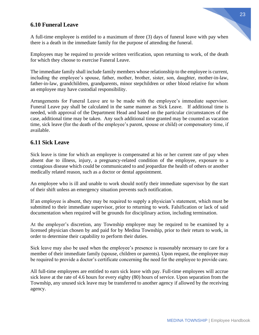## **6.10 Funeral Leave**

A full-time employee is entitled to a maximum of three (3) days of funeral leave with pay when there is a death in the immediate family for the purpose of attending the funeral.

Employees may be required to provide written verification, upon returning to work, of the death for which they choose to exercise Funeral Leave.

The immediate family shall include family members whose relationship to the employee is current, including the employee's spouse, father, mother, brother, sister, son, daughter, mother-in-law, father-in-law, grandchildren, grandparents, minor stepchildren or other blood relative for whom an employee may have custodial responsibility.

Arrangements for Funeral Leave are to be made with the employee's immediate supervisor. Funeral Leave pay shall be calculated in the same manner as Sick Leave. If additional time is needed, with approval of the Department Head and based on the particular circumstances of the case, additional time may be taken. Any such additional time granted may be counted as vacation time, sick leave (for the death of the employee's parent, spouse or child) or compensatory time, if available.

#### **6.11 Sick Leave**

Sick leave is time for which an employee is compensated at his or her current rate of pay when absent due to illness, injury, a pregnancy-related condition of the employee, exposure to a contagious disease which could be communicated to and jeopardize the health of others or another medically related reason, such as a doctor or dental appointment.

An employee who is ill and unable to work should notify their immediate supervisor by the start of their shift unless an emergency situation prevents such notification.

If an employee is absent, they may be required to supply a physician's statement, which must be submitted to their immediate supervisor, prior to returning to work. Falsification or lack of said documentation when required will be grounds for disciplinary action, including termination.

At the employer's discretion, any Township employee may be required to be examined by a licensed physician chosen by and paid for by Medina Township, prior to their return to work, in order to determine their capability to perform their duties.

Sick leave may also be used when the employee's presence is reasonably necessary to care for a member of their immediate family (spouse, children or parents). Upon request, the employee may be required to provide a doctor's certificate concerning the need for the employee to provide care.

All full-time employees are entitled to earn sick leave with pay. Full-time employees will accrue sick leave at the rate of 4.6 hours for every eighty (80) hours of service. Upon separation from the Township, any unused sick leave may be transferred to another agency if allowed by the receiving agency.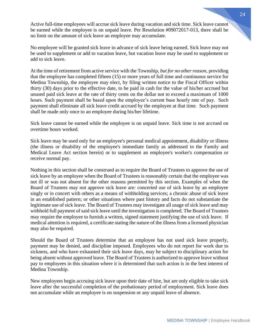Active full-time employees will accrue sick leave during vacation and sick time. Sick leave cannot be earned while the employee is on unpaid leave. Per Resolution #09072017-013, there shall be no limit on the amount of sick leave an employee may accumulate.

No employee will be granted sick leave in advance of sick leave being earned. Sick leave may not be used to supplement or add to vacation leave, but vacation leave may be used to supplement or add to sick leave.

At the time of retirement from active service with the Township, *but for no other reason,* providing that the employee has completed fifteen (15) or more years of full time and continuous service for Medina Township, the employee may elect, by filing written notice to the Fiscal Officer within thirty (30) days prior to the effective date, to be paid in cash for the value of his/her accrued but unused paid sick leave at the rate of thirty cents on the dollar not to exceed a maximum of 1000 hours. Such payment shall be based upon the employee's current base hourly rate of pay. Such payment shall eliminate all sick leave credit accrued by the employee at that time. Such payment shall be made only once to an employee during his/her lifetime.

Sick leave cannot be earned while the employee is on unpaid leave. Sick time is not accrued on overtime hours worked.

Sick leave may be used only for an employee's personal medical appointment, disability or illness (the illness or disability of the employee's immediate family as addressed in the Family and Medical Leave Act section herein) or to supplement an employee's worker's compensation or receive normal pay.

Nothing in this section shall be construed as to require the Board of Trustees to approve the use of sick leave by an employee when the Board of Trustees is reasonably certain that the employee was not ill or was not absent for the other reasons permitted by this section. Examples of when the Board of Trustees may not approve sick leave are: concerted use of sick leave by an employee singly or in concert with others as a means of withholding services; a chronic abuse of sick leave in an established pattern; or other situations where past history and facts do not substantiate the legitimate use of sick leave. The Board of Trustees may investigate all usage of sick leave and may withhold full payment of said sick leave until the investigation is completed. The Board of Trustees may require the employee to furnish a written, signed statement justifying the use of sick leave. If medical attention is required, a certificate stating the nature of the illness from a licensed physician may also be required.

Should the Board of Trustees determine that an employee has not used sick leave properly, payment may be denied, and discipline imposed. Employees who do not report for work due to sickness, and who have exhausted their sick leave days, may be subject to disciplinary action for being absent without approved leave. The Board of Trustees is authorized to approve leave without pay to employees in this situation where it is determined that such action is in the best interest of Medina Township.

New employees begin accruing sick leave upon their date of hire, but are only eligible to take sick leave after the successful completion of the probationary period of employment. Sick leave does not accumulate while an employee is on suspension or any unpaid leave of absence.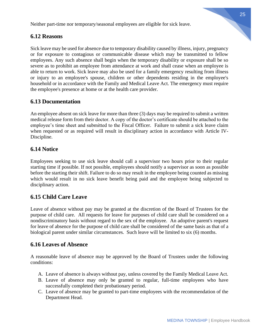Neither part-time nor temporary/seasonal employees are eligible for sick leave.

#### **6.12 Reasons**

Sick leave may be used for absence due to temporary disability caused by illness, injury, pregnancy or for exposure to contagious or communicable disease which may be transmitted to fellow employees. Any such absence shall begin when the temporary disability or exposure shall be so severe as to prohibit an employee from attendance at work and shall cease when an employee is able to return to work. Sick leave may also be used for a family emergency resulting from illness or injury to an employee's spouse, children or other dependents residing in the employee's household or in accordance with the Family and Medical Leave Act. The emergency must require the employee's presence at home or at the health care provider.

#### **6.13 Documentation**

An employee absent on sick leave for more than three (3) days may be required to submit a written medical release form from their doctor. A copy of the doctor's certificate should be attached to the employee's time sheet and submitted to the Fiscal Officer. Failure to submit a sick leave claim when requested or as required will result in disciplinary action in accordance with Article IV-Discipline.

#### **6.14 Notice**

Employees seeking to use sick leave should call a supervisor two hours prior to their regular starting time if possible. If not possible, employees should notify a supervisor as soon as possible before the starting their shift. Failure to do so may result in the employee being counted as missing which would result in no sick leave benefit being paid and the employee being subjected to disciplinary action.

#### **6.15 Child Care Leave**

Leave of absence without pay may be granted at the discretion of the Board of Trustees for the purpose of child care. All requests for leave for purposes of child care shall be considered on a nondiscriminatory basis without regard to the sex of the employee. An adoptive parent's request for leave of absence for the purpose of child care shall be considered of the same basis as that of a biological parent under similar circumstances. Such leave will be limited to six (6) months.

#### **6.16 Leaves of Absence**

A reasonable leave of absence may be approved by the Board of Trustees under the following conditions:

- A. Leave of absence is always without pay, unless covered by the Family Medical Leave Act.
- B. Leave of absence may only be granted to regular, full-time employees who have successfully completed their probationary period.
- C. Leave of absence may be granted to part-time employees with the recommendation of the Department Head.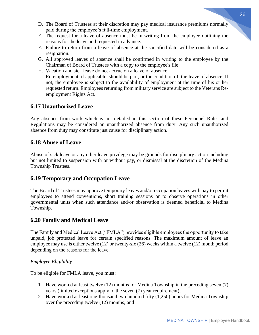- D. The Board of Trustees at their discretion may pay medical insurance premiums normally paid during the employee's full-time employment.
- E. The request for a leave of absence must be in writing from the employee outlining the reasons for the leave and requested in advance.
- F. Failure to return from a leave of absence at the specified date will be considered as a resignation.
- G. All approved leaves of absence shall be confirmed in writing to the employee by the Chairman of Board of Trustees with a copy to the employee's file.
- H. Vacation and sick leave do not accrue on a leave of absence.
- I. Re-employment, if applicable, should be part, or the condition of, the leave of absence. If not, the employee is subject to the availability of employment at the time of his or her requested return. Employees returning from military service are subject to the Veterans Reemployment Rights Act.

## **6.17 Unauthorized Leave**

Any absence from work which is not detailed in this section of these Personnel Rules and Regulations may be considered an unauthorized absence from duty. Any such unauthorized absence from duty may constitute just cause for disciplinary action.

## **6.18 Abuse of Leave**

Abuse of sick leave or any other leave privilege may be grounds for disciplinary action including but not limited to suspension with or without pay, or dismissal at the discretion of the Medina Township Trustees.

## **6.19 Temporary and Occupation Leave**

The Board of Trustees may approve temporary leaves and/or occupation leaves with pay to permit employees to attend conventions, short training sessions or to observe operations in other governmental units when such attendance and/or observation is deemed beneficial to Medina Township.

## **6.20 Family and Medical Leave**

The Family and Medical Leave Act ("FMLA") provides eligible employees the opportunity to take unpaid, job protected leave for certain specified reasons. The maximum amount of leave an employee may use is either twelve (12) or twenty-six (26) weeks within a twelve (12) month period depending on the reasons for the leave.

## *Employee Eligibility*

To be eligible for FMLA leave, you must:

- 1. Have worked at least twelve (12) months for Medina Township in the preceding seven (7) years (limited exceptions apply to the seven (7) year requirement);
- 2. Have worked at least one-thousand two hundred fifty (1,250) hours for Medina Township over the preceding twelve (12) months; and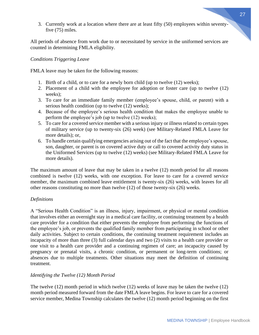3. Currently work at a location where there are at least fifty (50) employees within seventyfive (75) miles.

All periods of absence from work due to or necessitated by service in the uniformed services are counted in determining FMLA eligibility.

#### *Conditions Triggering Leave*

FMLA leave may be taken for the following reasons:

- 1. Birth of a child, or to care for a newly born child (up to twelve (12) weeks);
- 2. Placement of a child with the employee for adoption or foster care (up to twelve (12) weeks);
- 3. To care for an immediate family member (employee's spouse, child, or parent) with a serious health condition (up to twelve (12) weeks);
- 4. Because of the employee's serious health condition that makes the employee unable to perform the employee's job (up to twelve (12) weeks);
- 5. To care for a covered service member with a serious injury or illness related to certain types of military service (up to twenty-six (26) week) (see Military-Related FMLA Leave for more details); or,
- 6. To handle certain qualifying emergencies arising out of the fact that the employee's spouse, son, daughter, or parent is on covered active duty or call to covered activity duty status in the Uniformed Services (up to twelve (12) weeks) (see Military-Related FMLA Leave for more details).

The maximum amount of leave that may be taken in a twelve (12) month period for all reasons combined is twelve (12) weeks, with one exception. For leave to care for a covered service member, the maximum combined leave entitlement is twenty-six (26) weeks, with leaves for all other reasons constituting no more than twelve (12) of those twenty-six (26) weeks.

#### *Definitions*

A "Serious Health Condition" is an illness, injury, impairment, or physical or mental condition that involves either an overnight stay in a medical care facility, or continuing treatment by a health care provider for a condition that either prevents the employee from performing the functions of the employee's job, or prevents the qualified family member from participating in school or other daily activities. Subject to certain conditions, the continuing treatment requirement includes an incapacity of more than three (3) full calendar days and two (2) visits to a health care provider or one visit to a health care provider and a continuing regimen of care; an incapacity caused by pregnancy or prenatal visits, a chronic condition, or permanent or long-term conditions; or absences due to multiple treatments. Other situations may meet the definition of continuing treatment.

#### *Identifying the Twelve (12) Month Period*

The twelve (12) month period in which twelve (12) weeks of leave may be taken the twelve (12) month period measured forward from the date FMLA leave begins. For leave to care for a covered service member, Medina Township calculates the twelve (12) month period beginning on the first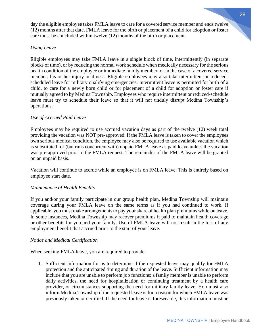day the eligible employee takes FMLA leave to care for a covered service member and ends twelve (12) months after that date. FMLA leave for the birth or placement of a child for adoption or foster

#### *Using Leave*

Eligible employees may take FMLA leave in a single block of time, intermittently (in separate blocks of time), or by reducing the normal work schedule when medically necessary for the serious health condition of the employee or immediate family member, or in the case of a covered service member, his or her injury or illness. Eligible employees may also take intermittent or reducedscheduled leave for military qualifying emergencies. Intermittent leave is permitted for birth of a child, to care for a newly born child or for placement of a child for adoption or foster care if mutually agreed to by Medina Township. Employees who require intermittent or reduced-schedule leave must try to schedule their leave so that it will not unduly disrupt Medina Township's operations.

care must be concluded within twelve (12) months of the birth or placement.

#### *Use of Accrued Paid Leave*

Employees may be required to use accrued vacation days as part of the twelve (12) week total providing the vacation was NOT pre-approved. If the FMLA leave is taken to cover the employees own serious medical condition, the employee may also be required to use available vacation which is substituted for (but runs concurrent with) unpaid FMLA leave as paid leave unless the vacation was pre-approved prior to the FMLA request. The remainder of the FMLA leave will be granted on an unpaid basis.

Vacation will continue to accrue while an employee is on FMLA leave. This is entirely based on employee start date.

#### *Maintenance of Health Benefits*

If you and/or your family participate in our group health plan, Medina Township will maintain coverage during your FMLA leave on the same terms as if you had continued to work. If applicable, you must make arrangements to pay your share of health plan premiums while on leave. In some instances, Medina Township may recover premiums it paid to maintain health coverage or other benefits for you and your family. Use of FMLA leave will not result in the loss of any employment benefit that accrued prior to the start of your leave.

#### *Notice and Medical Certification*

When seeking FMLA leave, you are required to provide:

1. Sufficient information for us to determine if the requested leave may qualify for FMLA protection and the anticipated timing and duration of the leave. Sufficient information may include that you are unable to perform job functions; a family member is unable to perform daily activities, the need for hospitalization or continuing treatment by a health care provider, or circumstances supporting the need for military family leave. You must also inform Medina Township if the requested leave is for a reason for which FMLA leave was previously taken or certified. If the need for leave is foreseeable, this information must be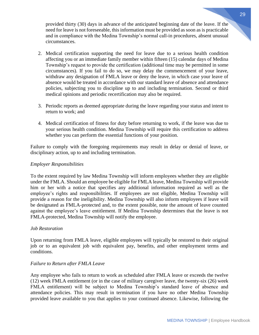provided thirty (30) days in advance of the anticipated beginning date of the leave. If the need for leave is not foreseeable, this information must be provided as soon as is practicable and in compliance with the Medina Township's normal call-in procedures, absent unusual circumstances.

- 2. Medical certification supporting the need for leave due to a serious health condition affecting you or an immediate family member within fifteen (15) calendar days of Medina Township's request to provide the certification (additional time may be permitted in some circumstances). If you fail to do so, we may delay the commencement of your leave, withdraw any designation of FMLA leave or deny the leave, in which case your leave of absence would be treated in accordance with our standard leave of absence and attendance policies, subjecting you to discipline up to and including termination. Second or third medical opinions and periodic recertification may also be required.
- 3. Periodic reports as deemed appropriate during the leave regarding your status and intent to return to work; and
- 4. Medical certification of fitness for duty before returning to work, if the leave was due to your serious health condition. Medina Township will require this certification to address whether you can perform the essential functions of your position.

Failure to comply with the foregoing requirements may result in delay or denial of leave, or disciplinary action, up to and including termination.

#### *Employer Responsibilities*

To the extent required by law Medina Township will inform employees whether they are eligible under the FMLA. Should an employee be eligible for FMLA leave, Medina Township will provide him or her with a notice that specifies any additional information required as well as the employee's rights and responsibilities. If employees are not eligible, Medina Township will provide a reason for the ineligibility. Medina Township will also inform employees if leave will be designated as FMLA-protected and, to the extent possible, note the amount of leave counted against the employee's leave entitlement. If Medina Township determines that the leave is not FMLA-protected, Medina Township will notify the employee.

#### *Job Restoration*

Upon returning from FMLA leave, eligible employees will typically be restored to their original job or to an equivalent job with equivalent pay, benefits, and other employment terms and conditions.

#### *Failure to Return after FMLA Leave*

Any employee who fails to return to work as scheduled after FMLA leave or exceeds the twelve (12) week FMLA entitlement (or in the case of military caregiver leave, the twenty-six (26) week FMLA entitlement) will be subject to Medina Township's standard leave of absence and attendance policies. This may result in termination if you have no other Medina Township provided leave available to you that applies to your continued absence. Likewise, following the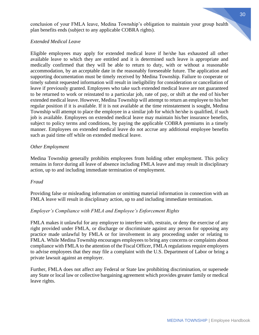conclusion of your FMLA leave, Medina Township's obligation to maintain your group health plan benefits ends (subject to any applicable COBRA rights).

#### *Extended Medical Leave*

Eligible employees may apply for extended medical leave if he/she has exhausted all other available leave to which they are entitled and it is determined such leave is appropriate and medically confirmed that they will be able to return to duty, with or without a reasonable accommodation, by an acceptable date in the reasonably foreseeable future. The application and supporting documentation must be timely received by Medina Township. Failure to cooperate or timely submit requested information will result in ineligibility for consideration or cancellation of leave if previously granted. Employees who take such extended medical leave are not guaranteed to be returned to work or reinstated to a particular job, rate of pay, or shift at the end of his/her extended medical leave. However, Medina Township will attempt to return an employee to his/her regular position if it is available. If it is not available at the time reinstatement is sought, Medina Township will attempt to place the employee in a similar job for which he/she is qualified, if such job is available. Employees on extended medical leave may maintain his/her insurance benefits, subject to policy terms and conditions, by paying the applicable COBRA premiums in a timely manner. Employees on extended medical leave do not accrue any additional employee benefits such as paid time off while on extended medical leave.

#### *Other Employment*

Medina Township generally prohibits employees from holding other employment. This policy remains in force during all leave of absence including FMLA leave and may result in disciplinary action, up to and including immediate termination of employment.

#### *Fraud*

Providing false or misleading information or omitting material information in connection with an FMLA leave will result in disciplinary action, up to and including immediate termination.

#### *Employer's Compliance with FMLA and Employee's Enforcement Rights*

FMLA makes it unlawful for any employer to interfere with, restrain, or deny the exercise of any right provided under FMLA, or discharge or discriminate against any person for opposing any practice made unlawful by FMLA or for involvement in any proceeding under or relating to FMLA. While Medina Township encourages employees to bring any concerns or complaints about compliance with FMLA to the attention of the Fiscal Officer, FMLA regulations require employers to advise employees that they may file a complaint with the U.S. Department of Labor or bring a private lawsuit against an employer.

Further, FMLA does not affect any Federal or State law prohibiting discrimination, or supersede any State or local law or collective bargaining agreement which provides greater family or medical leave rights.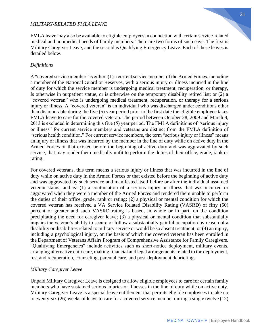#### *MILITARY-RELATED FMLA LEAVE*

FMLA leave may also be available to eligible employees in connection with certain service-related medical and nonmedical needs of family members. There are two forms of such eave. The first is Military Caregiver Leave, and the second is Qualifying Emergency Leave. Each of these leaves is detailed below.

#### *Definitions*

A "covered service member" is either: (1) a current service member of the Armed Forces, including a member of the National Guard or Reserves, with a serious injury or illness incurred in the line of duty for which the service member is undergoing medical treatment, recuperation, or therapy, Is otherwise in outpatient statue, or is otherwise on the temporary disability retired list; or (2) a "covered veteran" who is undergoing medical treatment, recuperation, or therapy for a serious injury or illness. A "covered veteran" is an individual who was discharged under conditions other than dishonorable during the five (5) year period prior to the first date the eligible employee takes FMLA leave to care for the covered veteran. The period between October 28, 2009 and March 8, 2013 is excluded in determining this five (5) year period. The FMLA definitions of "serious injury or illness" for current service members and veterans are distinct from the FMLA definition of "serious health condition." For current service members, the term "serious injury or illness" means an injury or illness that was incurred by the member in the line of duty while on active duty in the Armed Forces or that existed before the beginning of active duty and was aggravated by such service, that may render them medically unfit to perform the duties of their office, grade, rank or rating.

For covered veterans, this term means a serious injury or illness that was incurred in the line of duty while on active duty in the Armed Forces or that existed before the beginning of active duty and was aggravated by such service and manifested itself before or after the individual assumed veteran status, and is: (1) a continuation of a serious injury or illness that was incurred or aggravated when they were a member of the Armed Forces and rendered them unable to perform the duties of their office, grade, rank or rating; (2) a physical or mental condition for which the covered veteran has received a VA Service Related Disability Rating (VASRD) of fifty (50) percent or greater and such VASRD rating is based, in whole or in part, on the condition precipitating the need for caregiver leave; (3) a physical or mental condition that substantially impairs the veteran's ability to secure or follow a substantially gainful occupation by reason of a disability or disabilities related to military service or would be so absent treatment; or (4) an injury, including a psychological injury, on the basis of which the covered veteran has been enrolled in the Department of Veterans Affairs Program of Comprehensive Assistance for Family Caregivers. "Qualifying Emergencies" include activities such as short-notice deployment, military events, arranging alternative childcare, making financial and legal arrangements related to the deployment, rest and recuperation, counseling, parental care, and post-deployment debriefings.

#### *Military Caregiver Leave*

Unpaid Military Caregiver Leave is designed to allow eligible employees to care for certain family members who have sustained serious injuries or illnesses in the line of duty while on active duty. Military Caregiver Leave is a special leave entitlement that permits eligible employees to take up to twenty-six (26) weeks of leave to care for a covered service member during a single twelve (12)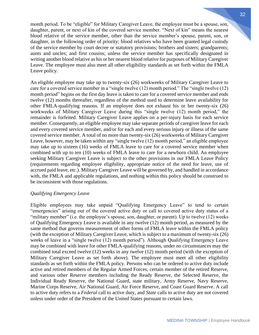month period. To be "eligible" for Military Caregiver Leave, the employee must be a spouse, son, daughter, parent, or next of kin of the covered service member. "Next of kin" means the nearest blood relative of the service member, other than the service member's spouse, parent, son, or daughter, in the following order of priority; blood relatives who have been granted legal custody of the service member by court decree or statutory provisions; brothers and sisters; grandparents; aunts and uncles; and first cousins; unless the service member has specifically designated in writing another blood relative as his or her nearest blood relative for purposes of Military Caregiver Leave. The employee must also meet all other eligibility standards as set forth within the FMLA Leave policy.

An eligible employee may take up to twenty-six (26) workweeks of Military Caregiver Leave to care for a covered service member in a "single twelve (12) month period." The "single twelve (12) month period" begins on the first day leave is taken to care for a covered service member and ends twelve (12) months thereafter, regardless of the method used to determine leave availability for other FMLA-qualifying reasons. If an employee does not exhaust his or her twenty-six (26) workweeks of Military Caregiver Leave during this "single twelve (12) month period," the remainder is forfeited. Military Caregiver Leave applies on a per-injury basis for each service member. Consequently, an eligible employee may take separate periods of caregiver leave for each and every covered service member, and/or for each and every serious injury or illness of the same covered service member. A total of no more than twenty-six (26) workweeks of Military Caregiver Leave, however, may be taken within any "single twelve (12) month period," an eligible employee may take up to sixteen (16) weeks of FMLA leave to care for a covered service member when combined with up to ten (10) weeks of FMLA leave to care for a newborn child. An employee seeking Military Caregiver Leave is subject to the other provisions in our FMLA Leave Policy (requirements regarding employee eligibility, appropriate notice of the need for leave, use of accrued paid leave, etc.). Military Caregiver Leave will be governed by, and handled in accordance with, the FMLA and applicable regulations, and nothing within this policy should be construed to be inconsistent with those regulations.

#### *Qualifying Emergency Leave*

Eligible employees may take unpaid "Qualifying Emergency Leave" to tend to certain "emergencies" arising out of the covered active duty or call to covered active duty status of a "military member" (i.e. the employee's spouse, son, daughter, or parent). Up to twelve (12) weeks of Qualifying Emergency Leave is available in any twelve (12) month period, as measured by the same method that governs measurement of other forms of FMLA leave within the FMLA policy (with the exception of Military Caregiver Leave, which is subject to a maximum of twenty-six (26) weeks of leave in a "single twelve (12) month period"). Although Qualifying Emergency Leave may be combined with leave for other FMLA-qualifying reasons, under no circumstances may the combined total exceed twelve (12) weeks in any twelve (12) month period (with the exception of Military Caregiver Leave as set forth above). The employee must meet all other eligibility standards as set forth within the FMLA policy. Persons who can be ordered to active duty include active and retired members of the Regular Armed Forces, certain member of the retired Reserve, and various other Reserve members including the Ready Reserve, the Selected Reserve, the Individual Ready Reserve, the National Guard, state military, Army Reserve, Navy Reserve, Marine Corps Reserve, Air National Guard, Air Force Reserve, and Coast Guard Reserve. A call to active duty refers to a *Federal* call to active duty, and *State* calls to active duty are not covered unless under order of the President of the United States pursuant to certain laws.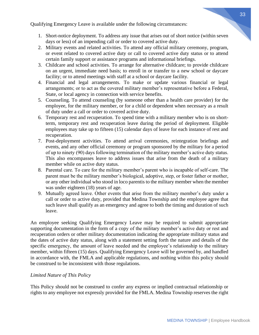Qualifying Emergency Leave is available under the following circumstances:

- 1. Short-notice deployment. To address any issue that arises out of short notice (within seven days or less) of an impending call or order to covered active duty.
- 2. Military events and related activities. To attend any official military ceremony, program, or event related to covered active duty or call to covered active duty status or to attend certain family support or assistance programs and informational briefings.
- 3. Childcare and school activities. To arrange for alternative childcare; to provide childcare on an urgent, immediate need basis; to enroll in or transfer to a new school or daycare facility; or to attend meetings with staff at a school or daycare facility.
- 4. Financial and legal arrangements. To make or update various financial or legal arrangements; or to act as the covered military member's representative before a Federal, State, or local agency in connection with service benefits.
- 5. Counseling. To attend counseling (by someone other than a health care provider) for the employee, for the military member, or for a child or dependent when necessary as a result of duty under a call or order to covered active duty.
- 6. Temporary rest and recuperation. To spend time with a military member who is on shortterm, temporary rest and recuperation leave during the period of deployment. Eligible employees may take up to fifteen (15) calendar days of leave for each instance of rest and recuperation.
- 7. Post-deployment activities. To attend arrival ceremonies, reintegration briefings and events, and any other official ceremony or program sponsored by the military for a period of up to ninety (90) days following termination of the military member's active duty status. This also encompasses leave to address issues that arise from the death of a military member while on active duty status.
- 8. Parental care. To care for the military member's parent who is incapable of self-care. The parent must be the military member's biological, adoptive, step, or foster father or mother, or any other individual who stood in loco parentis to the military member when the member was under eighteen (18) years of age.
- 9. Mutually agreed leave. Other events that arise from the military member's duty under a call or order to active duty, provided that Medina Township and the employee agree that such leave shall qualify as an emergency and agree to both the timing and duration of such leave.

An employee seeking Qualifying Emergency Leave may be required to submit appropriate supporting documentation in the form of a copy of the military member's active duty or rest and recuperation orders or other military documentation indicating the appropriate military status and the dates of active duty status, along with a statement setting forth the nature and details of the specific emergency, the amount of leave needed and the employee's relationship to the military member, within fifteen (15) days. Qualifying Emergency Leave will be governed by, and handled in accordance with, the FMLA and applicable regulations, and nothing within this policy should be construed to be inconsistent with those regulations.

#### *Limited Nature of This Policy*

This Policy should not be construed to confer any express or implied contractual relationship or rights to any employee not expressly provided for the FMLA. Medina Township reserves the right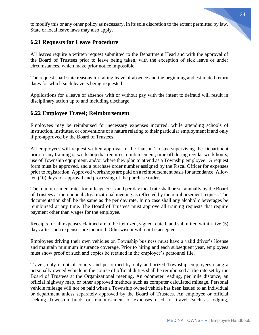to modify this or any other policy as necessary, in its sole discretion to the extent permitted by law. State or local leave laws may also apply.

#### **6.21 Requests for Leave Procedure**

All leaves require a written request submitted to the Department Head and with the approval of the Board of Trustees prior to leave being taken, with the exception of sick leave or under circumstances, which make prior notice impossible.

The request shall state reasons for taking leave of absence and the beginning and estimated return dates for which such leave is being requested.

Applications for a leave of absence with or without pay with the intent to defraud will result in disciplinary action up to and including discharge.

#### **6.22 Employee Travel; Reimbursement**

Employees may be reimbursed for necessary expenses incurred, while attending schools of instruction, institutes, or conventions of a nature relating to their particular employment if and only if pre-approved by the Board of Trustees.

All employees will request written approval of the Liaison Trustee supervising the Department prior to any training or workshop that requires reimbursement, time off during regular work hours, use of Township equipment, and/or where they plan to attend as a Township employee. A request form must be approved, and a purchase order number assigned by the Fiscal Officer for expenses prior to registration. Approved workshops are paid on a reimbursement basis for attendance. Allow ten (10) days for approval and processing of the purchase order.

The reimbursement rates for mileage costs and per day meal rate shall be set annually by the Board of Trustees at their annual Organizational meeting as reflected by the reimbursement request. The documentation shall be the same as the per day rate. In no case shall any alcoholic beverages be reimbursed at any time. The Board of Trustees must approve all training requests that require payment other than wages for the employee.

Receipts for all expenses claimed are to be itemized, signed, dated, and submitted within five (5) days after such expenses are incurred. Otherwise it will not be accepted.

Employees driving their own vehicles on Township business must have a valid driver's license and maintain minimum insurance coverage. Prior to hiring and each subsequent year, employees must show proof of such and copies be retained in the employee's personnel file.

Travel, only if out of county and performed by duly authorized Township employees using a personally owned vehicle in the course of official duties shall be reimbursed at the rate set by the Board of Trustees at the Organizational meeting. An odometer reading, per mile distance, an official highway map, or other approved methods such as computer calculated mileage. Personal vehicle mileage will not be paid when a Township owned vehicle has been issued to an individual or department unless separately approved by the Board of Trustees. An employee or official seeking Township funds or reimbursement of expenses used for travel (such as lodging,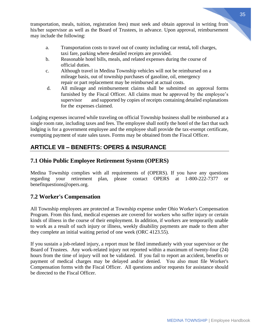transportation, meals, tuition, registration fees) must seek and obtain approval in writing from his/her supervisor as well as the Board of Trustees, in advance. Upon approval, reimbursement may include the following:

- a. Transportation costs to travel out of county including car rental**,** toll charges, taxi fare, parking where detailed receipts are provided.
- b. Reasonable hotel bills, meals, and related expenses during the course of official duties.
- c. Although travel in Medina Township vehicles will not be reimbursed on a mileage basis, out of township purchases of gasoline, oil, emergency repair or part replacement may be reimbursed at actual costs.
- d. All mileage and reimbursement claims shall be submitted on approval forms furnished by the Fiscal Officer. All claims must be approved by the employee's supervisor and supported by copies of receipts containing detailed explanations for the expenses claimed.

Lodging expenses incurred while traveling on official Township business shall be reimbursed at a single room rate, including taxes and fees. The employee shall notify the hotel of the fact that such lodging is for a government employee and the employee shall provide the tax-exempt certificate, exempting payment of state sales taxes. Forms may be obtained from the Fiscal Officer.

## **ARTICLE VII – BENEFITS: OPERS & INSURANCE**

## **7.1 Ohio Public Employee Retirement System (OPERS)**

Medina Township complies with all requirements of (OPERS). If you have any questions regarding your retirement plan, please contact OPERS at 1-800-222-7377 or benefitquestions@opers.org.

## **7.2 Worker's Compensation**

All Township employees are protected at Township expense under Ohio Worker's Compensation Program. From this fund, medical expenses are covered for workers who suffer injury or certain kinds of illness in the course of their employment. In addition, if workers are temporarily unable to work as a result of such injury or illness, weekly disability payments are made to them after they complete an initial waiting period of one week (ORC 4123.55).

If you sustain a job-related injury, a report must be filed immediately with your supervisor or the Board of Trustees. Any work-related injury not reported within a maximum of twenty-four (24) hours from the time of injury will not be validated. If you fail to report an accident, benefits or payment of medical charges may be delayed and/or denied. You also must file Worker's Compensation forms with the Fiscal Officer. All questions and/or requests for assistance should be directed to the Fiscal Officer.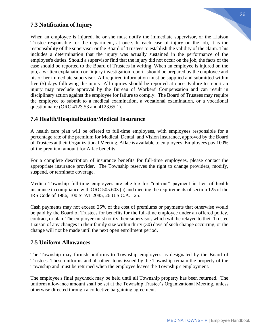## **7.3 Notification of Injury**

When an employee is injured, he or she must notify the immediate supervisor, or the Liaison Trustee responsible for the department, at once. In each case of injury on the job, it is the responsibility of the supervisor or the Board of Trustees to establish the validity of the claim. This includes a determination that the injury was actually sustained in the performance of the employee's duties. Should a supervisor find that the injury did not occur on the job, the facts of the case should be reported to the Board of Trustees in writing. When an employee is injured on the job, a written explanation or "injury investigation report" should be prepared by the employee and his or her immediate supervisor. All required information must be supplied and submitted within five (5) days following the injury. All injuries should be reported at once. Failure to report an injury may preclude approval by the Bureau of Workers' Compensation and can result in disciplinary action against the employee for failure to comply. The Board of Trustees may require the employee to submit to a medical examination, a vocational examination, or a vocational questionnaire (ORC 4123.53 and 4123.65.1).

#### **7.4 Health/Hospitalization/Medical Insurance**

A health care plan will be offered to full-time employees, with employees responsible for a percentage rate of the premium for Medical, Dental, and Vision Insurance, approved by the Board of Trustees at their Organizational Meeting. Aflac is available to employees. Employees pay 100% of the premium amount for Aflac benefits.

For a complete description of insurance benefits for full-time employees, please contact the appropriate insurance provider. The Township reserves the right to change providers, modify, suspend, or terminate coverage.

Medina Township full-time employees are eligible for "opt-out" payment in lieu of health insurance in compliance with ORC 505.603 (a) and meeting the requirements of section 125 of the IRS Code of 1986, 100 STAT 2085, 26 U.S.C.A. 125.

Cash payments may not exceed 25% of the cost of premiums or payments that otherwise would be paid by the Board of Trustees for benefits for the full-time employee under an offered policy, contract, or plan. The employee must notify their supervisor, which will be relayed to their Trustee Liaison of any changes in their family size within thirty (30) days of such change occurring, or the change will not be made until the next open enrollment period.

#### **7.5 Uniform Allowances**

The Township may furnish uniforms to Township employees as designated by the Board of Trustees. These uniforms and all other items issued by the Township remain the property of the Township and must be returned when the employee leaves the Township's employment.

The employee's final paycheck may be held until all Township property has been returned. The uniform allowance amount shall be set at the Township Trustee's Organizational Meeting, unless otherwise directed through a collective bargaining agreement.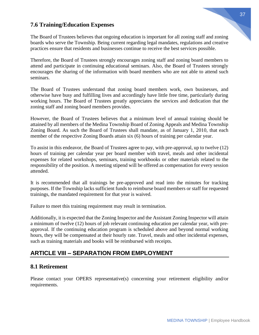#### 37

#### **7.6 Training/Education Expenses**

The Board of Trustees believes that ongoing education is important for all zoning staff and zoning boards who serve the Township. Being current regarding legal mandates, regulations and creative practices ensure that residents and businesses continue to receive the best services possible.

Therefore, the Board of Trustees strongly encourages zoning staff and zoning board members to attend and participate in continuing educational seminars. Also, the Board of Trustees strongly encourages the sharing of the information with board members who are not able to attend such seminars.

The Board of Trustees understand that zoning board members work, own businesses, and otherwise have busy and fulfilling lives and accordingly have little free time, particularly during working hours. The Board of Trustees greatly appreciates the services and dedication that the zoning staff and zoning board members provides.

However, the Board of Trustees believes that a minimum level of annual training should be attained by all members of the Medina Township Board of Zoning Appeals and Medina Township Zoning Board. As such the Board of Trustees shall mandate, as of January 1, 2010, that each member of the respective Zoning Boards attain six (6) hours of training per calendar year.

To assist in this endeavor, the Board of Trustees agree to pay, with pre-approval, up to twelve (12) hours of training per calendar year per board member with travel, meals and other incidental expenses for related workshops, seminars, training workbooks or other materials related to the responsibility of the position. A meeting stipend will be offered as compensation for every session attended.

It is recommended that all trainings be pre-approved and read into the minutes for tracking purposes. If the Township lacks sufficient funds to reimburse board members or staff for requested trainings, the mandated requirement for that year is waived.

Failure to meet this training requirement may result in termination.

Additionally, it is expected that the Zoning Inspector and the Assistant Zoning Inspector will attain a minimum of twelve (12) hours of job relevant continuing education per calendar year, with preapproval. If the continuing education program is scheduled above and beyond normal working hours, they will be compensated at their hourly rate. Travel, meals and other incidental expenses, such as training materials and books will be reimbursed with receipts.

## **ARTICLE VIII – SEPARATION FROM EMPLOYMENT**

#### **8.1 Retirement**

Please contact your OPERS representative(s) concerning your retirement eligibility and/or requirements.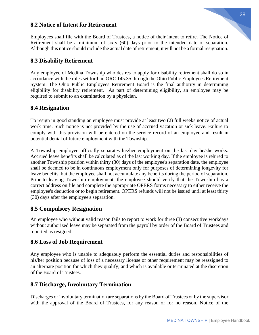# 38

#### **8.2 Notice of Intent for Retirement**

Employees shall file with the Board of Trustees, a notice of their intent to retire. The Notice of Retirement shall be a minimum of sixty (60) days prior to the intended date of separation. Although this notice should include the actual date of retirement, it will not be a formal resignation.

#### **8.3 Disability Retirement**

Any employee of Medina Township who desires to apply for disability retirement shall do so in accordance with the rules set forth in ORC 145.35 through the Ohio Public Employees Retirement System. The Ohio Public Employees Retirement Board is the final authority in determining eligibility for disability retirement. As part of determining eligibility, an employee may be required to submit to an examination by a physician.

#### **8.4 Resignation**

To resign in good standing an employee must provide at least two (2) full weeks notice of actual work time. Such notice is not provided by the use of accrued vacation or sick leave. Failure to comply with this provision will be entered on the service record of an employee and result in potential denial of future employment with the Township.

A Township employee officially separates his/her employment on the last day he/she works. Accrued leave benefits shall be calculated as of the last working day. If the employee is rehired to another Township position within thirty (30) days of the employee's separation date, the employee shall be deemed to be in continuous employment only for purposes of determining longevity for leave benefits, but the employee shall not accumulate any benefits during the period of separation. Prior to leaving Township employment, the employee should verify that the Township has a correct address on file and complete the appropriate OPERS forms necessary to either receive the employee's deduction or to begin retirement. OPERS refunds will not be issued until at least thirty (30) days after the employee's separation.

#### **8.5 Compulsory Resignation**

An employee who without valid reason fails to report to work for three (3) consecutive workdays without authorized leave may be separated from the payroll by order of the Board of Trustees and reported as resigned.

#### **8.6 Loss of Job Requirement**

Any employee who is unable to adequately perform the essential duties and responsibilities of his/her position because of loss of a necessary license or other requirement may be reassigned to an alternate position for which they qualify; and which is available or terminated at the discretion of the Board of Trustees.

## **8.7 Discharge, Involuntary Termination**

Discharges or involuntary termination are separations by the Board of Trustees or by the supervisor with the approval of the Board of Trustees, for any reason or for no reason. Notice of the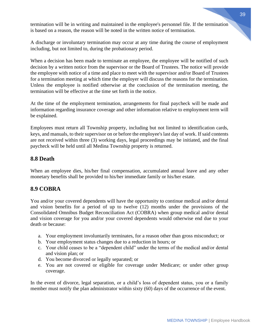termination will be in writing and maintained in the employee's personnel file. If the termination is based on a reason, the reason will be noted in the written notice of termination.

A discharge or involuntary termination may occur at any time during the course of employment including, but not limited to, during the probationary period.

When a decision has been made to terminate an employee, the employee will be notified of such decision by a written notice from the supervisor or the Board of Trustees. The notice will provide the employee with notice of a time and place to meet with the supervisor and/or Board of Trustees for a termination meeting at which time the employer will discuss the reasons for the termination. Unless the employee is notified otherwise at the conclusion of the termination meeting, the termination will be effective at the time set forth in the notice.

At the time of the employment termination, arrangements for final paycheck will be made and information regarding insurance coverage and other information relative to employment term will be explained.

Employees must return all Township property, including but not limited to identification cards, keys, and manuals, to their supervisor on or before the employee's last day of work. If said contents are not received within three (3) working days, legal proceedings may be initiated, and the final paycheck will be held until all Medina Township property is returned.

### **8.8 Death**

When an employee dies, his/her final compensation, accumulated annual leave and any other monetary benefits shall be provided to his/her immediate family or his/her estate.

## **8.9 COBRA**

You and/or your covered dependents will have the opportunity to continue medical and/or dental and vision benefits for a period of up to twelve (12) months under the provisions of the Consolidated Omnibus Budget Reconciliation Act (COBRA) when group medical and/or dental and vision coverage for you and/or your covered dependents would otherwise end due to your death or because:

- a. Your employment involuntarily terminates, for a reason other than gross misconduct; or
- b. Your employment status changes due to a reduction in hours; or
- c. Your child ceases to be a "dependent child" under the terms of the medical and/or dental and vision plan; or
- d. You become divorced or legally separated; or
- e. You are not covered or eligible for coverage under Medicare; or under other group coverage.

In the event of divorce, legal separation, or a child's loss of dependent status, you or a family member must notify the plan administrator within sixty (60) days of the occurrence of the event.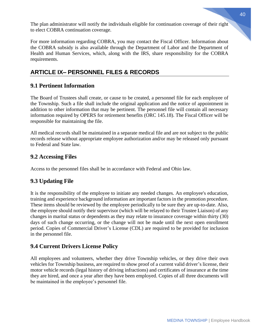The plan administrator will notify the individuals eligible for continuation coverage of their right to elect COBRA continuation coverage.

For more information regarding COBRA, you may contact the Fiscal Officer. Information about the COBRA subsidy is also available through the Department of Labor and the Department of Health and Human Services, which, along with the IRS, share responsibility for the COBRA requirements.

# **ARTICLE IX– PERSONNEL FILES & RECORDS**

# **9.1 Pertinent Information**

The Board of Trustees shall create, or cause to be created, a personnel file for each employee of the Township. Such a file shall include the original application and the notice of appointment in addition to other information that may be pertinent. The personnel file will contain all necessary information required by OPERS for retirement benefits (ORC 145.18). The Fiscal Officer will be responsible for maintaining the file.

All medical records shall be maintained in a separate medical file and are not subject to the public records release without appropriate employee authorization and/or may be released only pursuant to Federal and State law.

# **9.2 Accessing Files**

Access to the personnel files shall be in accordance with Federal and Ohio law.

# **9.3 Updating File**

It is the responsibility of the employee to initiate any needed changes. An employee's education, training and experience background information are important factors in the promotion procedure. These items should be reviewed by the employee periodically to be sure they are up-to-date. Also, the employee should notify their supervisor (which will be relayed to their Trustee Liaison) of any changes in marital status or dependents as they may relate to insurance coverage within thirty (30) days of such change occurring, or the change will not be made until the next open enrollment period. Copies of Commercial Driver's License (CDL) are required to be provided for inclusion in the personnel file.

# **9.4 Current Drivers License Policy**

All employees and volunteers, whether they drive Township vehicles, or they drive their own vehicles for Township business, are required to show proof of a current valid driver's license, their motor vehicle records (legal history of driving infractions) and certificates of insurance at the time they are hired, and once a year after they have been employed. Copies of all three documents will be maintained in the employee's personnel file.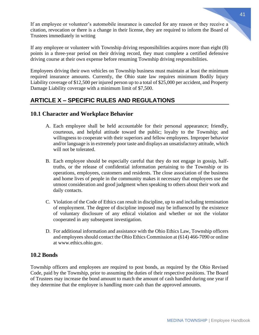If an employee or volunteer's automobile insurance is canceled for any reason or they receive a citation, revocation or there is a change in their license, they are required to inform the Board of Trustees immediately in writing

If any employee or volunteer with Township driving responsibilities acquires more than eight (8) points in a three-year period on their driving record, they must complete a certified defensive driving course at their own expense before resuming Township driving responsibilities.

Employees driving their own vehicles on Township business must maintain at least the minimum required insurance amounts. Currently, the Ohio state law requires minimum Bodily Injury Liability coverage of \$12,500 per injured person up to a total of \$25,000 per accident, and Property Damage Liability coverage with a minimum limit of \$7,500.

# **ARTICLE X – SPECIFIC RULES AND REGULATIONS**

# **10.1 Character and Workplace Behavior**

- A. Each employee shall be held accountable for their personal appearance; friendly, courteous, and helpful attitude toward the public; loyalty to the Township; and willingness to cooperate with their superiors and fellow employees. Improper behavior and/or language is in extremely poor taste and displays an unsatisfactory attitude, which will not be tolerated.
- B. Each employee should be especially careful that they do not engage in gossip, halftruths, or the release of confidential information pertaining to the Township or its operations, employees, customers and residents. The close association of the business and home lives of people in the community makes it necessary that employees use the utmost consideration and good judgment when speaking to others about their work and daily contacts.
- C. Violation of the Code of Ethics can result in discipline, up to and including termination of employment. The degree of discipline imposed may be influenced by the existence of voluntary disclosure of any ethical violation and whether or not the violator cooperated in any subsequent investigation.
- D. For additional information and assistance with the Ohio Ethics Law, Township officers and employees should contact the Ohio Ethics Commission at (614) 466-7090 or online at www.ethics.ohio.gov.

## **10.2 Bonds**

Township officers and employees are required to post bonds, as required by the Ohio Revised Code, paid by the Township, prior to assuming the duties of their respective positions. The Board of Trustees may increase the bond amount to match the amount of cash handled during one year if they determine that the employee is handling more cash than the approved amounts.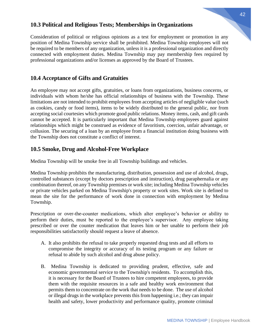#### **10.3 Political and Religious Tests; Memberships in Organizations**

Consideration of political or religious opinions as a test for employment or promotion in any position of Medina Township service shall be prohibited. Medina Township employees will not be required to be members of any organization, unless it is a professional organization and directly connected with employment duties. Medina Township may pay membership fees required by professional organizations and/or licenses as approved by the Board of Trustees.

### **10.4 Acceptance of Gifts and Gratuities**

An employee may not accept gifts, gratuities, or loans from organizations, business concerns, or individuals with whom he/she has official relationships of business with the Township. These limitations are not intended to prohibit employees from accepting articles of negligible value (such as cookies, candy or food items), items to be widely distributed to the general public, nor from accepting social courtesies which promote good public relations. Money items, cash, and gift cards cannot be accepted. It is particularly important that Medina Township employees guard against relationships which might be construed as evidence of favoritism, coercion, unfair advantage, or collusion. The securing of a loan by an employee from a financial institution doing business with the Township does not constitute a conflict of interest.

### **10.5 Smoke, Drug and Alcohol-Free Workplace**

Medina Township will be smoke free in all Township buildings and vehicles.

Medina Township prohibits the manufacturing, distribution, possession and use of alcohol, drugs, controlled substances (except by doctors prescription and instruction), drug paraphernalia or any combination thereof, on any Township premises or work site; including Medina Township vehicles or private vehicles parked on Medina Township's property or work sites. Work site is defined to mean the site for the performance of work done in connection with employment by Medina Township.

Prescription or over-the-counter medications, which alter employee's behavior or ability to perform their duties, must be reported to the employee's supervisor. Any employee taking prescribed or over the counter medication that leaves him or her unable to perform their job responsibilities satisfactorily should request a leave of absence.

- A. It also prohibits the refusal to take properly requested drug tests and all efforts to compromise the integrity or accuracy of its testing program or any failure or refusal to abide by such alcohol and drug abuse policy.
- B. Medina Township is dedicated to providing prudent, effective, safe and economic governmental service to the Township's residents. To accomplish this, it is necessary for the Board of Trustees to hire competent employees, to provide them with the requisite resources in a safe and healthy work environment that permits them to concentrate on the work that needs to be done. The use of alcohol or illegal drugs in the workplace prevents this from happening i.e.; they can impair health and safety, lower productivity and performance quality, promote criminal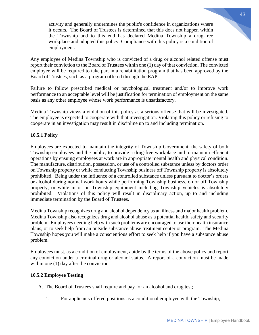activity and generally undermines the public's confidence in organizations where it occurs. The Board of Trustees is determined that this does not happen within the Township and to this end has declared Medina Township a drug-free workplace and adopted this policy. Compliance with this policy is a condition of employment.

Any employee of Medina Township who is convicted of a drug or alcohol related offense must report their conviction to the Board of Trustees within one (1) day of that conviction. The convicted employee will be required to take part in a rehabilitation program that has been approved by the Board of Trustees, such as a program offered through the EAP.

Failure to follow prescribed medical or psychological treatment and/or to improve work performance to an acceptable level will be justification for termination of employment on the same basis as any other employee whose work performance is unsatisfactory.

Medina Township views a violation of this policy as a serious offense that will be investigated. The employee is expected to cooperate with that investigation. Violating this policy or refusing to cooperate in an investigation may result in discipline up to and including termination.

#### **10.5.1 Policy**

Employees are expected to maintain the integrity of Township Government, the safety of both Township employees and the public, to provide a drug-free workplace and to maintain efficient operations by ensuing employees at work are in appropriate mental health and physical condition. The manufacture, distribution, possession, or use of a controlled substance unless by doctors order on Township property or while conducting Township business off Township property is absolutely prohibited. Being under the influence of a controlled substance unless pursuant to doctor's orders or alcohol during normal work hours while performing Township business, on or off Township property, or while in or on Township equipment including Township vehicles is absolutely prohibited. Violations of this policy will result in disciplinary action, up to and including immediate termination by the Board of Trustees.

Medina Township recognizes drug and alcohol dependency as an illness and major health problem. Medina Township also recognizes drug and alcohol abuse as a potential health, safety and security problem. Employees needing help with such problems are encouraged to use their health insurance plans, or to seek help from an outside substance abuse treatment center or program. The Medina Township hopes you will make a conscientious effort to seek help if you have a substance abuse problem.

Employees must, as a condition of employment, abide by the terms of the above policy and report any conviction under a criminal drug or alcohol status. A report of a conviction must be made within one  $(1)$  day after the conviction.

#### **10.5.2 Employee Testing**

- A. The Board of Trustees shall require and pay for an alcohol and drug test;
	- 1. For applicants offered positions as a conditional employee with the Township;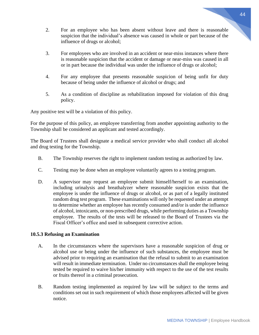- 2. For an employee who has been absent without leave and there is reasonable suspicion that the individual's absence was caused in whole or part because of the influence of drugs or alcohol;
- 3. For employees who are involved in an accident or near-miss instances where there is reasonable suspicion that the accident or damage or near-miss was caused in all or in part because the individual was under the influence of drugs or alcohol;
- 4. For any employee that presents reasonable suspicion of being unfit for duty because of being under the influence of alcohol or drugs; and
- 5. As a condition of discipline as rehabilitation imposed for violation of this drug policy.

Any positive test will be a violation of this policy.

For the purpose of this policy, an employee transferring from another appointing authority to the Township shall be considered an applicant and tested accordingly.

The Board of Trustees shall designate a medical service provider who shall conduct all alcohol and drug testing for the Township.

- B. The Township reserves the right to implement random testing as authorized by law.
- C. Testing may be done when an employee voluntarily agrees to a testing program.
- D. A supervisor may request an employee submit himself/herself to an examination, including urinalysis and breathalyzer where reasonable suspicion exists that the employee is under the influence of drugs or alcohol, or as part of a legally instituted random drug test program. These examinations will only be requested under an attempt to determine whether an employee has recently consumed and/or is under the influence of alcohol, intoxicants, or non-prescribed drugs, while performing duties as a Township employee. The results of the tests will be released to the Board of Trustees via the Fiscal Officer's office and used in subsequent corrective action.

#### **10.5.3 Refusing an Examination**

- A. In the circumstances where the supervisors have a reasonable suspicion of drug or alcohol use or being under the influence of such substances, the employee must be advised prior to requiring an examination that the refusal to submit to an examination will result in immediate termination. Under no circumstances shall the employee being tested be required to waive his/her immunity with respect to the use of the test results or fruits thereof in a criminal prosecution.
- B. Random testing implemented as required by law will be subject to the terms and conditions set out in such requirement of which those employees affected will be given notice.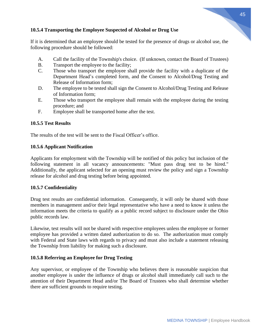#### **10.5.4 Transporting the Employee Suspected of Alcohol or Drug Use**

If it is determined that an employee should be tested for the presence of drugs or alcohol use, the following procedure should be followed:

- A. Call the facility of the Township's choice. (If unknown, contact the Board of Trustees)
- B. Transport the employee to the facility;
- C. Those who transport the employee shall provide the facility with a duplicate of the Department Head's completed form, and the Consent to Alcohol/Drug Testing and Release of Information form;
- D. The employee to be tested shall sign the Consent to Alcohol/Drug Testing and Release of Information form;
- E. Those who transport the employee shall remain with the employee during the testing procedure; and
- F. Employee shall be transported home after the test.

#### **10.5.5 Test Results**

The results of the test will be sent to the Fiscal Officer's office.

#### **10.5.6 Applicant Notification**

Applicants for employment with the Township will be notified of this policy but inclusion of the following statement in all vacancy announcements: "Must pass drug test to be hired." Additionally, the applicant selected for an opening must review the policy and sign a Township release for alcohol and drug testing before being appointed.

#### **10.5.7 Confidentiality**

Drug test results are confidential information. Consequently, it will only be shared with those members in management and/or their legal representative who have a need to know it unless the information meets the criteria to qualify as a public record subject to disclosure under the Ohio public records law.

Likewise, test results will not be shared with respective employees unless the employee or former employee has provided a written dated authorization to do so. The authorization must comply with Federal and State laws with regards to privacy and must also include a statement releasing the Township from liability for making such a disclosure.

#### **10.5.8 Referring an Employee for Drug Testing**

Any supervisor, or employee of the Township who believes there is reasonable suspicion that another employee is under the influence of drugs or alcohol shall immediately call such to the attention of their Department Head and/or The Board of Trustees who shall determine whether there are sufficient grounds to require testing.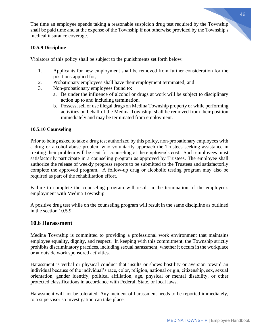The time an employee spends taking a reasonable suspicion drug test required by the Township shall be paid time and at the expense of the Township if not otherwise provided by the Township's medical insurance coverage.

#### **10.5.9 Discipline**

Violators of this policy shall be subject to the punishments set forth below:

- 1. Applicants for new employment shall be removed from further consideration for the positions applied for;
- 2. Probationary employees shall have their employment terminated; and
- 3. Non-probationary employees found to:
	- a. Be under the influence of alcohol or drugs at work will be subject to disciplinary action up to and including termination.
	- b. Possess, sell or use illegal drugs on Medina Township property or while performing activities on behalf of the Medina Township, shall be removed from their position immediately and may be terminated from employment.

#### **10.5.10 Counseling**

Prior to being asked to take a drug test authorized by this policy, non-probationary employees with a drug or alcohol abuse problem who voluntarily approach the Trustees seeking assistance in treating their problem will be sent for counseling at the employee's cost. Such employees must satisfactorily participate in a counseling program as approved by Trustees. The employee shall authorize the release of weekly progress reports to be submitted to the Trustees and satisfactorily complete the approved program. A follow-up drug or alcoholic testing program may also be required as part of the rehabilitation effort.

Failure to complete the counseling program will result in the termination of the employee's employment with Medina Township.

A positive drug test while on the counseling program will result in the same discipline as outlined in the section 10.5.9

#### **10.6 Harassment**

Medina Township is committed to providing a professional work environment that maintains employee equality, dignity, and respect. In keeping with this commitment, the Township strictly prohibits discriminatory practices, including sexual harassment; whether it occurs in the workplace or at outside work sponsored activities.

Harassment is verbal or physical conduct that insults or shows hostility or aversion toward an individual because of the individual's race, color, religion, national origin, citizenship, sex, sexual orientation, gender identify, political affiliation, age, physical or mental disability, or other protected classifications in accordance with Federal, State, or local laws.

Harassment will not be tolerated. Any incident of harassment needs to be reported immediately, to a supervisor so investigation can take place.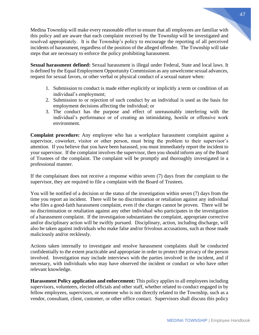Medina Township will make every reasonable effort to ensure that all employees are familiar with this policy and are aware that each complaint received by the Township will be investigated and resolved appropriately. It is the Township's policy to encourage the reporting of all perceived incidents of harassment, regardless of the position of the alleged offender. The Township will take steps that are necessary to enforce the policy prohibiting harassment.

**Sexual harassment defined:** Sexual harassment is illegal under Federal, State and local laws. It is defined by the Equal Employment Opportunity Commission as any unwelcome sexual advances, request for sexual favors, or other verbal or physical conduct of a sexual nature when:

- 1. Submission to conduct is made either explicitly or implicitly a term or condition of an individual's employment;
- 2. Submission to or rejection of such conduct by an individual is used as the basis for employment decisions affecting the individual; or
- 3. The conduct has the purpose and effect of unreasonably interfering with the individual's performance or of creating an intimidating, hostile or offensive work environment.

**Complaint procedure:** Any employee who has a workplace harassment complaint against a supervisor, coworker, visitor or other person, must bring the problem to their supervisor's attention. If you believe that you have been harassed, you must immediately report the incident to your supervisor. If the complaint involves the supervisor, then you should inform any of the Board of Trustees of the complaint. The complaint will be promptly and thoroughly investigated in a professional manner.

If the complainant does not receive a response within seven (7) days from the complaint to the supervisor, they are required to file a complaint with the Board of Trustees.

You will be notified of a decision or the status of the investigation within seven (7) days from the time you report an incident. There will be no discrimination or retaliation against any individual who files a good-faith harassment complaint, even if the charges cannot be proven. There will be no discrimination or retaliation against any other individual who participates in the investigation of a harassment complaint. If the investigation substantiates the complaint, appropriate corrective and/or disciplinary action will be swiftly pursued. Disciplinary, action, including discharge, will also be taken against individuals who make false and/or frivolous accusations, such as those made maliciously and/or recklessly.

Actions taken internally to investigate and resolve harassment complaints shall be conducted confidentially to the extent practicable and appropriate in order to protect the privacy of the person involved. Investigation may include interviews with the parties involved in the incident, and if necessary, with individuals who may have observed the incident or conduct or who have other relevant knowledge.

**Harassment Policy application and enforcement:** This policy applies to all employees including supervisors, volunteers, elected officials and other staff, whether related to conduct engaged in by fellow employees, supervisors, or someone who is not directly related to the Township, such as a vendor, consultant, client, customer, or other office contact. Supervisors shall discuss this policy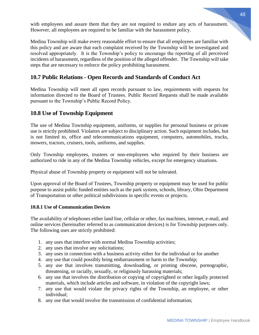with employees and assure them that they are not required to endure any acts of harassment. However, all employees are required to be familiar with the harassment policy.

Medina Township will make every reasonable effort to ensure that all employees are familiar with this policy and are aware that each complaint received by the Township will be investigated and resolved appropriately. It is the Township's policy to encourage the reporting of all perceived incidents of harassment, regardless of the position of the alleged offender. The Township will take steps that are necessary to enforce the policy prohibiting harassment.

## **10.7 Public Relations - Open Records and Standards of Conduct Act**

Medina Township will meet all open records pursuant to law, requirements with requests for information directed to the Board of Trustees. Public Record Requests shall be made available pursuant to the Township's Public Record Policy.

### **10.8 Use of Township Equipment**

The use of Medina Township equipment, uniforms, or supplies for personal business or private use is strictly prohibited. Violators are subject to disciplinary action. Such equipment includes, but is not limited to, office and telecommunications equipment, computers, automobiles, trucks, mowers, tractors, cruisers, tools, uniforms, and supplies.

Only Township employees, trustees or non-employees who required by their business are authorized to ride in any of the Medina Township vehicles, except for emergency situations.

Physical abuse of Township property or equipment will not be tolerated.

Upon approval of the Board of Trustees, Township property or equipment may be used for public purpose to assist public funded entities such as the park system, schools, library, Ohio Department of Transportation or other political subdivisions in specific events or projects.

#### **10.8.1 Use of Communication Devices**

The availability of telephones either land line, cellular or other, fax machines, internet, e-mail, and online services (hereinafter referred to as communication devices) is for Township purposes only. The following uses are strictly prohibited:

- 1. any uses that interfere with normal Medina Township activities;
- 2. any uses that involve any solicitations;
- 3. any uses in connection with a business activity either for the individual or for another
- 4. any use that could possibly bring embarrassment or harm to the Township;
- 5. any use that involves transmitting, downloading, or printing obscene, pornographic, threatening, or racially, sexually, or religiously harassing materials;
- 6. any use that involves the distribution or copying of copyrighted or other legally protected materials, which include articles and software, in violation of the copyright laws;
- 7. any use that would violate the privacy rights of the Township, an employee, or other individual;
- 8. any use that would involve the transmission of confidential information;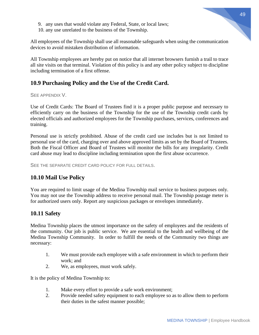- 9. any uses that would violate any Federal, State, or local laws;
- 10. any use unrelated to the business of the Township.

All employees of the Township shall use all reasonable safeguards when using the communication devices to avoid mistaken distribution of information.

All Township employees are hereby put on notice that all internet browsers furnish a trail to trace all site visits on that terminal. Violation of this policy is and any other policy subject to discipline including termination of a first offense.

### **10.9 Purchasing Policy and the Use of the Credit Card.**

#### SEE APPENDIX V.

Use of Credit Cards: The Board of Trustees find it is a proper public purpose and necessary to efficiently carry on the business of the Township for the use of the Township credit cards by elected officials and authorized employees for the Township purchases, services, conferences and training.

Personal use is strictly prohibited. Abuse of the credit card use includes but is not limited to personal use of the card, charging over and above approved limits as set by the Board of Trustees. Both the Fiscal Officer and Board of Trustees will monitor the bills for any irregularity. Credit card abuse may lead to discipline including termination upon the first abuse occurrence.

SEE THE SEPARATE CREDIT CARD POLICY FOR FULL DETAILS.

## **10.10 Mail Use Policy**

You are required to limit usage of the Medina Township mail service to business purposes only. You may not use the Township address to receive personal mail. The Township postage meter is for authorized users only. Report any suspicious packages or envelopes immediately.

#### **10.11 Safety**

Medina Township places the utmost importance on the safety of employees and the residents of the community. Our job is public service. We are essential to the health and wellbeing of the Medina Township Community. In order to fulfill the needs of the Community two things are necessary:

- 1. We must provide each employee with a safe environment in which to perform their work; and
- 2. We, as employees, must work safely.

It is the policy of Medina Township to:

- 1. Make every effort to provide a safe work environment;
- 2. Provide needed safety equipment to each employee so as to allow them to perform their duties in the safest manner possible;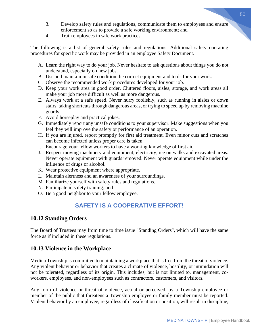- 3. Develop safety rules and regulations, communicate them to employees and ensure enforcement so as to provide a safe working environment; and
- 4. Train employees in safe work practices.

The following is a list of general safety rules and regulations. Additional safety operating procedures for specific work may be provided in an employee Safety Document.

- A. Learn the right way to do your job. Never hesitate to ask questions about things you do not understand, especially on new jobs.
- B. Use and maintain in safe condition the correct equipment and tools for your work.
- C. Observe the recommended work procedures developed for your job.
- D. Keep your work area in good order. Cluttered floors, aisles, storage, and work areas all make your job more difficult as well as more dangerous.
- E. Always work at a safe speed. Never hurry foolishly, such as running in aisles or down stairs, taking shortcuts through dangerous areas, or trying to speed up by removing machine guards.
- F. Avoid horseplay and practical jokes.
- G. Immediately report any unsafe conditions to your supervisor. Make suggestions when you feel they will improve the safety or performance of an operation.
- H. If you are injured, report promptly for first aid treatment. Even minor cuts and scratches can become infected unless proper care is taken.
- I. Encourage your fellow workers to have a working knowledge of first aid.
- J. Respect moving machinery and equipment, electricity, ice on walks and excavated areas. Never operate equipment with guards removed. Never operate equipment while under the influence of drugs or alcohol.
- K. Wear protective equipment where appropriate.
- L. Maintain alertness and an awareness of your surroundings.
- M. Familiarize yourself with safety rules and regulations.
- N. Participate in safety training; and
- O. Be a good neighbor to your fellow employee.

# **SAFETY IS A COOPERATIVE EFFORT!**

#### **10.12 Standing Orders**

The Board of Trustees may from time to time issue "Standing Orders", which will have the same force as if included in these regulations.

#### **10.13 Violence in the Workplace**

Medina Township is committed to maintaining a workplace that is free from the threat of violence. Any violent behavior or behavior that creates a climate of violence, hostility, or intimidation will not be tolerated, regardless of its origin. This includes, but is not limited to, management, coworkers, employees, and non-employees such as contractors, customers, and visitors.

Any form of violence or threat of violence, actual or perceived, by a Township employee or member of the public that threatens a Township employee or family member must be reported. Violent behavior by an employee, regardless of classification or position, will result in discipline,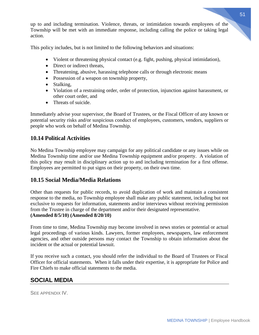up to and including termination. Violence, threats, or intimidation towards employees of the Township will be met with an immediate response, including calling the police or taking legal action.

This policy includes, but is not limited to the following behaviors and situations:

- Violent or threatening physical contact (e.g. fight, pushing, physical intimidation),
- Direct or indirect threats,
- Threatening, abusive, harassing telephone calls or through electronic means
- Possession of a weapon on township property,
- Stalking,
- Violation of a restraining order, order of protection, injunction against harassment, or other court order, and
- Threats of suicide.

Immediately advise your supervisor, the Board of Trustees, or the Fiscal Officer of any known or potential security risks and/or suspicious conduct of employees, customers, vendors, suppliers or people who work on behalf of Medina Township.

# **10.14 Political Activities**

No Medina Township employee may campaign for any political candidate or any issues while on Medina Township time and/or use Medina Township equipment and/or property. A violation of this policy may result in disciplinary action up to and including termination for a first offense. Employees are permitted to put signs on their property, on their own time.

# **10.15 Social Media/Media Relations**

Other than requests for public records, to avoid duplication of work and maintain a consistent response to the media, no Township employee shall make any public statement, including but not exclusive to requests for information, statements and/or interviews without receiving permission from the Trustee in charge of the department and/or their designated representative. **(Amended 8/5/10) (Amended 8/20/10)**

From time to time, Medina Township may become involved in news stories or potential or actual legal proceedings of various kinds. Lawyers, former employees, newspapers, law enforcement agencies, and other outside persons may contact the Township to obtain information about the incident or the actual or potential lawsuit.

If you receive such a contact, you should refer the individual to the Board of Trustees or Fiscal Officer for official statements. When it falls under their expertise, it is appropriate for Police and Fire Chiefs to make official statements to the media.

# **SOCIAL MEDIA**

SEE APPENDIX IV.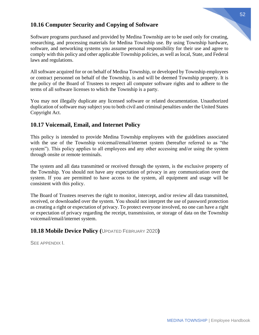### **10.16 Computer Security and Copying of Software**

Software programs purchased and provided by Medina Township are to be used only for creating, researching, and processing materials for Medina Township use. By using Township hardware, software, and networking systems you assume personal responsibility for their use and agree to comply with this policy and other applicable Township policies, as well as local, State, and Federal laws and regulations.

All software acquired for or on behalf of Medina Township, or developed by Township employees or contract personnel on behalf of the Township, is and will be deemed Township property. It is the policy of the Board of Trustees to respect all computer software rights and to adhere to the terms of all software licenses to which the Township is a party.

You may not illegally duplicate any licensed software or related documentation. Unauthorized duplication of software may subject you to both civil and criminal penalties under the United States Copyright Act.

## **10.17 Voicemail, Email, and Internet Policy**

This policy is intended to provide Medina Township employees with the guidelines associated with the use of the Township voicemail/email/internet system (hereafter referred to as "the system"). This policy applies to all employees and any other accessing and/or using the system through onsite or remote terminals.

The system and all data transmitted or received through the system, is the exclusive property of the Township. You should not have any expectation of privacy in any communication over the system. If you are permitted to have access to the system, all equipment and usage will be consistent with this policy.

The Board of Trustees reserves the right to monitor, intercept, and/or review all data transmitted, received, or downloaded over the system. You should not interpret the use of password protection as creating a right or expectation of privacy. To protect everyone involved, no one can have a right or expectation of privacy regarding the receipt, transmission, or storage of data on the Township voicemail/email/internet system.

## **10.18 Mobile Device Policy (**UPDATED FEBRUARY 2020**)**

SEE APPENDIX I.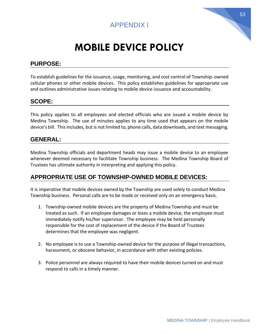



# **MOBILE DEVICE POLICY**

# **PURPOSE:**

To establish guidelines for the issuance, usage, monitoring, and cost control of Township- owned cellular phones or other mobile devices. This policy establishes guidelines for appropriate use and outlines administrative issues relating to mobile device issuance and accountability.

# **SCOPE:**

This policy applies to all employees and elected officials who are issued a mobile device by Medina Township. The use of minutes applies to any time used that appears on the mobile device's bill. This includes, but is not limited to, phone calls, data downloads, and text messaging.

# **GENERAL:**

Medina Township officials and department heads may issue a mobile device to an employee whenever deemed necessary to facilitate Township business. The Medina Township Board of Trustees has ultimate authority in interpreting and applying this policy.

# **APPROPRIATE USE OF TOWNSHIP-OWNED MOBILE DEVICES:**

It is imperative that mobile devices owned by the Township are used solely to conduct Medina Township business. Personal calls are to be made or received only on an emergency basis.

- 1. Township-owned mobile devices are the property of Medina Township and must be treated as such. If an employee damages or loses a mobile device, the employee must immediately notify his/her supervisor. The employee may be held personally responsible for the cost of replacement of the device if the Board of Trustees determines that the employee was negligent.
- 2. No employee is to use a Township-owned device for the purpose of illegal transactions, harassment, or obscene behavior, in accordance with other existing policies.
- 3. Police personnel are always required to have their mobile devices turned on and must respond to calls in a timely manner.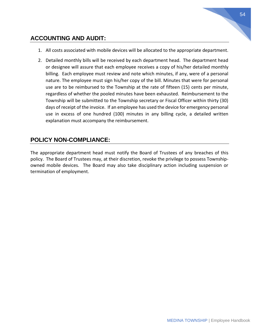# **ACCOUNTING AND AUDIT:**

- 1. All costs associated with mobile devices will be allocated to the appropriate department.
- 2. Detailed monthly bills will be received by each department head. The department head or designee will assure that each employee receives a copy of his/her detailed monthly billing. Each employee must review and note which minutes, if any, were of a personal nature. The employee must sign his/her copy of the bill. Minutes that were for personal use are to be reimbursed to the Township at the rate of fifteen (15) cents per minute, regardless of whether the pooled minutes have been exhausted. Reimbursement to the Township will be submitted to the Township secretary or Fiscal Officer within thirty (30) days of receipt of the invoice. If an employee has used the device for emergency personal use in excess of one hundred (100) minutes in any billing cycle, a detailed written explanation must accompany the reimbursement.

## **POLICY NON-COMPLIANCE:**

The appropriate department head must notify the Board of Trustees of any breaches of this policy. The Board of Trustees may, at their discretion, revoke the privilege to possess Townshipowned mobile devices. The Board may also take disciplinary action including suspension or termination of employment.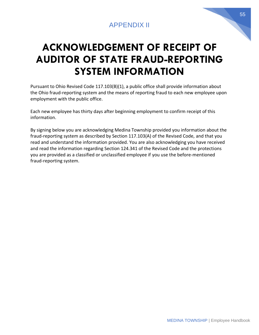# APPENDIX II

# **ACKNOWLEDGEMENT OF RECEIPT OF AUDITOR OF STATE FRAUD-REPORTING SYSTEM INFORMATION**

Pursuant to Ohio Revised Code 117.103(B)(1), a public office shall provide information about the Ohio fraud-reporting system and the means of reporting fraud to each new employee upon employment with the public office.

Each new employee has thirty days after beginning employment to confirm receipt of this information.

By signing below you are acknowledging Medina Township provided you information about the fraud-reporting system as described by Section 117.103(A) of the Revised Code, and that you read and understand the information provided. You are also acknowledging you have received and read the information regarding Section 124.341 of the Revised Code and the protections you are provided as a classified or unclassified employee if you use the before-mentioned fraud-reporting system.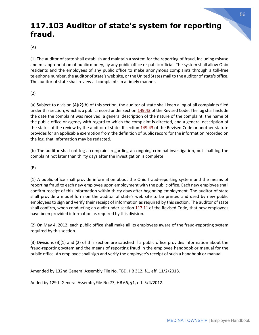# **117.103 Auditor of state's system for reporting fraud.**

#### (A)

(1) The auditor of state shall establish and maintain a system for the reporting of fraud, including misuse and misappropriation of public money, by any public office or public official. The system shall allow Ohio residents and the employees of any public office to make anonymous complaints through a toll-free telephone number, the auditor of state's web site, or the United States mail to the auditor of state's office. The auditor of state shall review all complaints in a timely manner.

(2)

(a) Subject to division (A)(2)(b) of this section, the auditor of state shall keep a log of all complaints filed under this section, which is a public record under section [149.43](http://codes.ohio.gov/orc/149.43) of the Revised Code. The log shall include the date the complaint was received, a general description of the nature of the complaint, the name of the public office or agency with regard to which the complaint is directed, and a general description of the status of the review by the auditor of state. If section [149.43](http://codes.ohio.gov/orc/149.43) of the Revised Code or another statute provides for an applicable exemption from the definition of public record for the information recorded on the log, that information may be redacted.

(b) The auditor shall not log a complaint regarding an ongoing criminal investigation, but shall log the complaint not later than thirty days after the investigation is complete.

(B)

(1) A public office shall provide information about the Ohio fraud-reporting system and the means of reporting fraud to each new employee upon employment with the public office. Each new employee shall confirm receipt of this information within thirty days after beginning employment. The auditor of state shall provide a model form on the auditor of state's web site to be printed and used by new public employees to sign and verify their receipt of information as required by this section. The auditor of state shall confirm, when conducting an audit under section  $117.11$  of the Revised Code, that new employees have been provided information as required by this division.

(2) On May 4, 2012, each public office shall make all its employees aware of the fraud-reporting system required by this section.

(3) Divisions (B)(1) and (2) of this section are satisfied if a public office provides information about the fraud-reporting system and the means of reporting fraud in the employee handbook or manual for the public office. An employee shall sign and verify the employee's receipt of such a handbook or manual.

Amended by 132nd General Assembly File No. TBD, HB 312, §1, eff. 11/2/2018.

Added by 129th General AssemblyFile No.73, HB 66, §1, eff. 5/4/2012.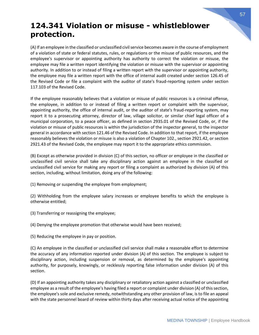# **124.341 Violation or misuse - whistleblower protection.**

(A) If an employee in the classified or unclassified civil service becomes aware in the course of employment of a violation of state or federal statutes, rules, or regulations or the misuse of public resources, and the employee's supervisor or appointing authority has authority to correct the violation or misuse, the employee may file a written report identifying the violation or misuse with the supervisor or appointing authority. In addition to or instead of filing a written report with the supervisor or appointing authority, the employee may file a written report with the office of internal audit created under section 126.45 of the Revised Code or file a complaint with the auditor of state's fraud-reporting system under section 117.103 of the Revised Code.

If the employee reasonably believes that a violation or misuse of public resources is a criminal offense, the employee, in addition to or instead of filing a written report or complaint with the supervisor, appointing authority, the office of internal audit, or the auditor of state's fraud-reporting system, may report it to a prosecuting attorney, director of law, village solicitor, or similar chief legal officer of a municipal corporation, to a peace officer, as defined in section 2935.01 of the Revised Code, or, if the violation or misuse of public resources is within the jurisdiction of the inspector general, to the inspector general in accordance with section 121.46 of the Revised Code. In addition to that report, if the employee reasonably believes the violation or misuse is also a violation of Chapter 102., section 2921.42, or section 2921.43 of the Revised Code, the employee may report it to the appropriate ethics commission.

(B) Except as otherwise provided in division (C) of this section, no officer or employee in the classified or unclassified civil service shall take any disciplinary action against an employee in the classified or unclassified civil service for making any report or filing a complaint as authorized by division (A) of this section, including, without limitation, doing any of the following:

(1) Removing or suspending the employee from employment;

(2) Withholding from the employee salary increases or employee benefits to which the employee is otherwise entitled;

(3) Transferring or reassigning the employee;

(4) Denying the employee promotion that otherwise would have been received;

(5) Reducing the employee in pay or position.

(C) An employee in the classified or unclassified civil service shall make a reasonable effort to determine the accuracy of any information reported under division (A) of this section. The employee is subject to disciplinary action, including suspension or removal, as determined by the employee's appointing authority, for purposely, knowingly, or recklessly reporting false information under division (A) of this section.

(D) If an appointing authority takes any disciplinary or retaliatory action against a classified or unclassified employee as a result of the employee's having filed a report or complaint under division (A) of this section, the employee's sole and exclusive remedy, notwithstanding any other provision of law, is to file an appeal with the state personnel board of review within thirty days after receiving actual notice of the appointing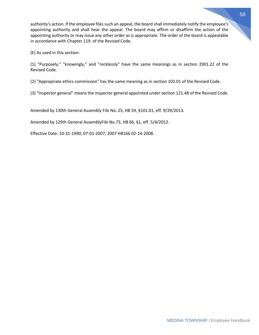authority's action. If the employee files such an appeal, the board shall immediately notify the employee's appointing authority and shall hear the appeal. The board may affirm or disaffirm the action of the appointing authority or may issue any other order as is appropriate. The order of the board is appealable in accordance with Chapter 119. of the Revised Code.

(E) As used in this section:

(1) "Purposely," "knowingly," and "recklessly" have the same meanings as in section 2901.22 of the Revised Code.

(2) "Appropriate ethics commission" has the same meaning as in section 102.01 of the Revised Code.

(3) "Inspector general" means the inspector general appointed under section 121.48 of the Revised Code.

Amended by 130th General Assembly File No. 25, HB 59, §101.01, eff. 9/29/2013.

Amended by 129th General AssemblyFile No.73, HB 66, §1, eff. 5/4/2012.

Effective Date: 10-31-1990; 07-01-2007; 2007 HB166 02-14-2008.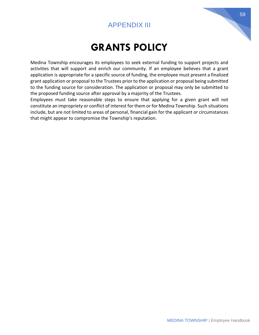# APPENDIX III

# **GRANTS POLICY**

Medina Township encourages its employees to seek external funding to support projects and activities that will support and enrich our community. If an employee believes that a grant application is appropriate for a specific source of funding, the employee must present a finalized grant application or proposal to the Trustees prior to the application or proposal being submitted to the funding source for consideration. The application or proposal may only be submitted to the proposed funding source after approval by a majority of the Trustees.

Employees must take reasonable steps to ensure that applying for a given grant will not constitute an impropriety or conflict of interest for them or for Medina Township. Such situations include, but are not limited to areas of personal, financial gain for the applicant or circumstances that might appear to compromise the Township's reputation.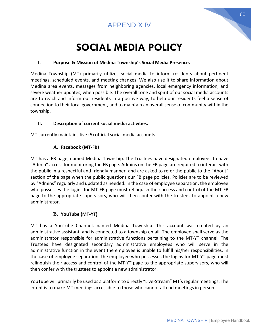# APPENDIX IV

# **SOCIAL MEDIA POLICY**

#### **I. Purpose & Mission of Medina Township's Social Media Presence.**

Medina Township (MT) primarily utilizes social media to inform residents about pertinent meetings, scheduled events, and meeting changes. We also use it to share information about Medina area events, messages from neighboring agencies, local emergency information, and severe weather updates, when possible. The overall tone and spirit of our social media accounts are to reach and inform our residents in a positive way, to help our residents feel a sense of connection to their local government, and to maintain an overall sense of community within the township.

#### **II. Description of current social media activities.**

MT currently maintains five (5) official social media accounts:

#### **A. Facebook (MT-FB)**

MT has a FB page, named Medina Township. The Trustees have designated employees to have "Admin" access for monitoring the FB page. Admins on the FB page are required to interact with the public in a respectful and friendly manner, and are asked to refer the public to the "About" section of the page when the public questions our FB page policies. Policies are to be reviewed by "Admins" regularly and updated as needed. In the case of employee separation, the employee who possesses the logins for MT-FB page must relinquish their access and control of the MT-FB page to the appropriate supervisors, who will then confer with the trustees to appoint a new administrator.

#### **B. YouTube (MT-YT)**

MT has a YouTube Channel, named Medina Township. This account was created by an administrative assistant, and is connected to a township email. The employee shall serve as the administrator responsible for administrative functions pertaining to the MT-YT channel. The Trustees have designated secondary administrative employees who will serve in the administrative function in the event the employee is unable to fulfill his/her responsibilities. In the case of employee separation, the employee who possesses the logins for MT-YT page must relinquish their access and control of the MT-YT page to the appropriate supervisors, who will then confer with the trustees to appoint a new administrator.

YouTube will primarily be used as a platform to directly "Live-Stream" MT's regular meetings. The intent is to make MT meetings accessible to those who cannot attend meetings in person.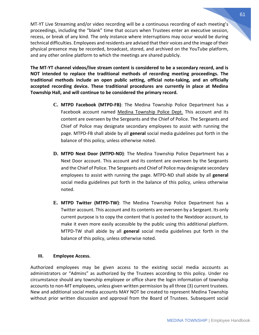MT-YT Live Streaming and/or video recording will be a continuous recording of each meeting's proceedings, including the "blank" time that occurs when Trustees enter an executive session, recess, or break of any kind. The only instance where interruptions may occur would be during technical difficulties. Employees and residents are advised that their voices and the image of their physical presence may be recorded, broadcast, stored, and archived on the YouTube platform, and any other online platform to which the meetings are shared publicly.

**The MT-YT channel videos/live stream content is considered to be a secondary record, and is NOT intended to replace the traditional methods of recording meeting proceedings. The traditional methods include an open public setting, official note-taking, and an officially accepted recording device. These traditional procedures are currently in place at Medina Township Hall, and will continue to be considered the primary record.**

- **C. MTPD Facebook (MTPD-FB)**: The Medina Township Police Department has a Facebook account named Medina Township Police Dept. This account and its content are overseen by the Sergeants and the Chief of Police. The Sergeants and Chief of Police may designate secondary employees to assist with running the page. MTPD-FB shall abide by all **general** social media guidelines put forth in the balance of this policy, unless otherwise noted.
- **D. MTPD Next Door (MTPD-ND)**: The Medina Township Police Department has a Next Door account. This account and its content are overseen by the Sergeants and the Chief of Police. The Sergeants and Chief of Police may designate secondary employees to assist with running the page. MTPD-ND shall abide by all **general**  social media guidelines put forth in the balance of this policy, unless otherwise noted.
- **E. MTPD Twitter (MTPD-TW)**: The Medina Township Police Department has a Twitter account. This account and its contents are overseen by a Sergeant. Its only current purpose is to copy the content that is posted to the Nextdoor account, to make it even more easily accessible by the public using this additional platform. MTPD-TW shall abide by all **general** social media guidelines put forth in the balance of this policy, unless otherwise noted.

#### **III. Employee Access.**

Authorized employees may be given access to the existing social media accounts as administrators or "Admins" as authorized by the Trustees according to this policy. Under no circumstance should any township employee or office share the login information of township accounts to non-MT employees, unless given written permission by all three (3) current trustees. New and additional social media accounts MAY NOT be created to represent Medina Township without prior written discussion and approval from the Board of Trustees. Subsequent social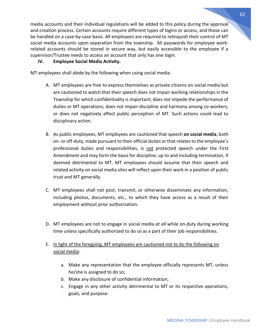media accounts and their individual regulations will be added to this policy during the approval and creation process. Certain accounts require different types of logins or access, and those can be handled on a case-by-case basis. All employees are required to relinquish their control of MT social media accounts upon separation from the township. All passwords for employee workrelated accounts should be stored in secure way, but easily accessible to the employee if a supervisor/Trustee needs to access an account that only has one login.

#### **IV. Employee Social Media Activity.**

MT employees shall abide by the following when using social media:

- A. MT employees are free to express themselves as private citizens on social media but are cautioned to watch that their speech does not impair working relationships in the Township for which confidentiality is important; does not impede the performance of duties or MT operations; does not impair discipline and harmony among co-workers; or does not negatively affect public perception of MT. Such actions could lead to disciplinary action.
- B. As public employees, MT employees are cautioned that speech **on social media**, both on- or off-duty, made pursuant to their official duties or that relates to the employee's professional duties and responsibilities, is not protected speech under the First Amendment and may form the basis for discipline, up to and including termination, if deemed detrimental to MT. MT employees should assume that their speech and related activity on social media sites will reflect upon their work in a position of public trust and MT generally.
- C. MT employees shall not post, transmit, or otherwise disseminate any information, including photos, documents, etc., to which they have access as a result of their employment without prior authorization.
- D. MT employees are not to engage in social media *at all* while on-duty during working time unless specifically authorized to do so as a part of their job responsibilities.
- E. In light of the foregoing, MT employees are cautioned not to do the following on social media:
	- a. Make any representation that the employee officially represents MT, unless he/she is assigned to do so;
	- b. Make any disclosure of confidential information;
	- c. Engage in any other activity detrimental to MT or its respective operations, goals, and purpose.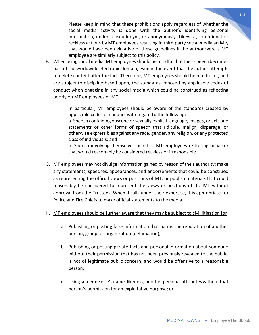Please keep in mind that these prohibitions apply regardless of whether the social media activity is done with the author's identifying personal information, under a pseudonym, or anonymously. Likewise, intentional or reckless actions by MT employees resulting in third party social media activity that would have been violative of these guidelines if the author were a MT employee are similarly subject to this policy.

F. When using social media, MT employees should be mindful that their speech becomes part of the worldwide electronic domain, even in the event that the author attempts to delete content after the fact. Therefore, MT employees should be mindful of, and are subject to discipline based upon, the standards imposed by applicable codes of conduct when engaging in any social media which could be construed as reflecting poorly on MT employees or MT.

> In particular, MT employees should be aware of the standards created by applicable codes of conduct with regard to the following:

> a. Speech containing obscene or sexually explicit language, images, or acts and statements or other forms of speech that ridicule, malign, disparage, or otherwise express bias against any race, gender, any religion, or any protected class of individuals; and

> b. Speech involving themselves or other MT employees reflecting behavior that would reasonably be considered reckless or irresponsible.

G. MT employees may not divulge information gained by reason of their authority; make any statements, speeches, appearances, and endorsements that could be construed as representing the official views or positions of MT; or publish materials that could reasonably be considered to represent the views or positions of the MT without approval from the Trustees. When it falls under their expertise, it is appropriate for Police and Fire Chiefs to make official statements to the media.

#### H. MT employees should be further aware that they may be subject to civil litigation for:

- a. Publishing or posting false information that harms the reputation of another person, group, or organization (defamation);
- b. Publishing or posting private facts and personal information about someone without their permission that has not been previously revealed to the public, is not of legitimate public concern, and would be offensive to a reasonable person;
- c. Using someone else's name, likeness, or other personal attributes without that person's permission for an exploitative purpose; or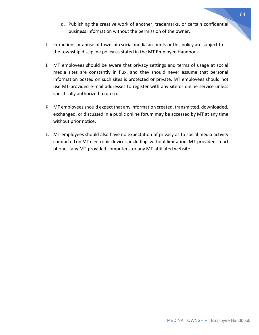- d. Publishing the creative work of another, trademarks, or certain confidential business information without the permission of the owner.
- I. Infractions or abuse of township social media accounts or this policy are subject to the township discipline policy as stated in the MT Employee Handbook.
- J. MT employees should be aware that privacy settings and terms of usage at social media sites are constantly in flux, and they should never assume that personal information posted on such sites is protected or private. MT employees should not use MT-provided e-mail addresses to register with any site or online service unless specifically authorized to do so.
- K. MT employees should expect that any information created, transmitted, downloaded, exchanged, or discussed in a public online forum may be accessed by MT at any time without prior notice.
- L. MT employees should also have no expectation of privacy as to social media activity conducted on MT electronic devices, including, without limitation, MT-provided smart phones, any MT-provided computers, or any MT-affiliated website.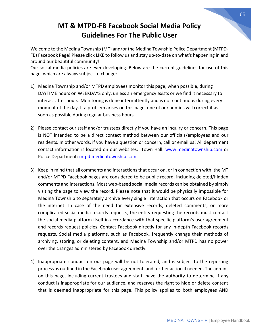# **MT & MTPD-FB Facebook Social Media Policy Guidelines For The Public User**

Welcome to the Medina Township (MT) and/or the Medina Township Police Department (MTPD-FB) Facebook Page! Please click LIKE to follow us and stay up-to-date on what's happening in and around our beautiful community!

Our social media policies are ever-developing. Below are the current guidelines for use of this page, which are always subject to change:

- 1) Medina Township and/or MTPD employees monitor this page, when possible, during DAYTIME hours on WEEKDAYS only, unless an emergency exists or we find it necessary to interact after hours. Monitoring is done intermittently and is not continuous during every moment of the day. If a problem arises on this page, one of our admins will correct it as soon as possible during regular business hours.
- 2) Please contact our staff and/or trustees directly if you have an inquiry or concern. This page is NOT intended to be a direct contact method between our officials/employees and our residents. In other words, if you have a question or concern, call or email us! All department contact information is located on our websites: Town Hall: [www.medinatownship.com](http://www.medinatownship.com/) or Police Department: [mtpd.medinatownship.com.](http://www.mtpd.medinatownship.com/)
- 3) Keep in mind that all comments and interactions that occur on, or in connection with, the MT and/or MTPD Facebook pages are considered to be public record, including deleted/hidden comments and interactions. Most web-based social media records can be obtained by simply visiting the page to view the record. Please note that it would be physically impossible for Medina Township to separately archive every single interaction that occurs on Facebook or the internet. In case of the need for extensive records, deleted comments, or more complicated social media records requests, the entity requesting the records must contact the social media platform itself in accordance with that specific platform's user agreement and records request policies. Contact Facebook directly for any in-depth Facebook records requests. Social media platforms, such as Facebook, frequently change their methods of archiving, storing, or deleting content, and Medina Township and/or MTPD has no power over the changes administered by Facebook directly.
- 4) Inappropriate conduct on our page will be not tolerated, and is subject to the reporting process as outlined in the Facebook user agreement, and further action if needed. The admins on this page, including current trustees and staff, have the authority to determine if any conduct is inappropriate for our audience, and reserves the right to hide or delete content that is deemed inappropriate for this page. This policy applies to both employees AND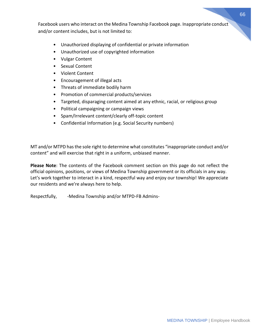Facebook users who interact on the Medina Township Facebook page. Inappropriate conduct and/or content includes, but is not limited to:

- Unauthorized displaying of confidential or private information
- Unauthorized use of copyrighted information
- Vulgar Content
- Sexual Content
- Violent Content
- Encouragement of illegal acts
- Threats of immediate bodily harm
- Promotion of commercial products/services
- Targeted, disparaging content aimed at any ethnic, racial, or religious group
- Political campaigning or campaign views
- Spam/Irrelevant content/clearly off-topic content
- Confidential Information (e.g. Social Security numbers)

MT and/or MTPD has the sole right to determine what constitutes "inappropriate conduct and/or content" and will exercise that right in a uniform, unbiased manner.

**Please Note**: The contents of the Facebook comment section on this page do not reflect the official opinions, positions, or views of Medina Township government or its officials in any way. Let's work together to interact in a kind, respectful way and enjoy our township! We appreciate our residents and we're always here to help.

Respectfully, - Medina Township and/or MTPD-FB Admins-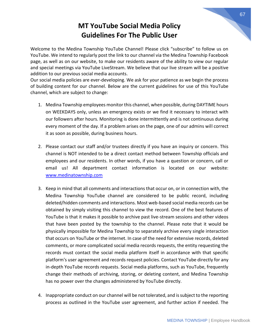# **MT YouTube Social Media Policy Guidelines For The Public User**

Welcome to the Medina Township YouTube Channel! Please click "subscribe" to follow us on YouTube. We intend to regularly post the link to our channel via the Medina Township Facebook page, as well as on our website, to make our residents aware of the ability to view our regular and special meetings via YouTube LiveStream. We believe that our live stream will be a positive addition to our previous social media accounts.

Our social media policies are ever-developing. We ask for your patience as we begin the process of building content for our channel. Below are the current guidelines for use of this YouTube channel, which are subject to change:

- 1. Medina Township employees monitor this channel, when possible, during DAYTIME hours on WEEKDAYS only, unless an emergency exists or we find it necessary to interact with our followers after hours. Monitoring is done intermittently and is not continuous during every moment of the day. If a problem arises on the page, one of our admins will correct it as soon as possible, during business hours.
- 2. Please contact our staff and/or trustees directly if you have an inquiry or concern. This channel is NOT intended to be a direct contact method between Township officials and employees and our residents. In other words, if you have a question or concern, call or email us! All department contact information is located on our website: [www.medinatownship.com](http://www.medinatownship.com/)
- 3. Keep in mind that all comments and interactions that occur on, or in connection with, the Medina Township YouTube channel are considered to be public record, including deleted/hidden comments and interactions. Most web-based social media records can be obtained by simply visiting this channel to view the record. One of the best features of YouTube is that it makes it possible to archive past live-stream sessions and other videos that have been posted by the township to the channel. Please note that it would be physically impossible for Medina Township to separately archive every single interaction that occurs on YouTube or the internet. In case of the need for extensive records, deleted comments, or more complicated social media records requests, the entity requesting the records must contact the social media platform itself in accordance with that specific platform's user agreement and records request policies. Contact YouTube directly for any in-depth YouTube records requests. Social media platforms, such as YouTube, frequently change their methods of archiving, storing, or deleting content, and Medina Township has no power over the changes administered by YouTube directly.
- 4. Inappropriate conduct on our channel will be not tolerated, and is subject to the reporting process as outlined in the YouTube user agreement, and further action if needed. The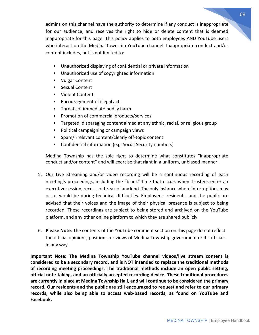admins on this channel have the authority to determine if any conduct is inappropriate for our audience, and reserves the right to hide or delete content that is deemed inappropriate for this page. This policy applies to both employees AND YouTube users who interact on the Medina Township YouTube channel. Inappropriate conduct and/or content includes, but is not limited to:

- Unauthorized displaying of confidential or private information
- Unauthorized use of copyrighted information
- Vulgar Content
- Sexual Content
- Violent Content
- Encouragement of illegal acts
- Threats of immediate bodily harm
- Promotion of commercial products/services
- Targeted, disparaging content aimed at any ethnic, racial, or religious group
- Political campaigning or campaign views
- Spam/Irrelevant content/clearly off-topic content
- Confidential information (e.g. Social Security numbers)

Medina Township has the sole right to determine what constitutes "inappropriate conduct and/or content" and will exercise that right in a uniform, unbiased manner.

- 5. Our Live Streaming and/or video recording will be a continuous recording of each meeting's proceedings, including the "blank" time that occurs when Trustees enter an executive session, recess, or break of any kind. The only instance where interruptions may occur would be during technical difficulties. Employees, residents, and the public are advised that their voices and the image of their physical presence is subject to being recorded. These recordings are subject to being stored and archived on the YouTube platform, and any other online platform to which they are shared publicly.
- 6. **Please Note**: The contents of the YouTube comment section on this page do not reflect the official opinions, positions, or views of Medina Township government or its officials in any way.

**Important Note: The Medina Township YouTube channel videos/live stream content is considered to be a secondary record, and is NOT intended to replace the traditional methods of recording meeting proceedings. The traditional methods include an open public setting, official note-taking, and an officially accepted recording device. These traditional procedures are currently in place at Medina Township Hall, and will continue to be considered the primary record. Our residents and the public are still encouraged to request and refer to our primary records, while also being able to access web-based records, as found on YouTube and Facebook.**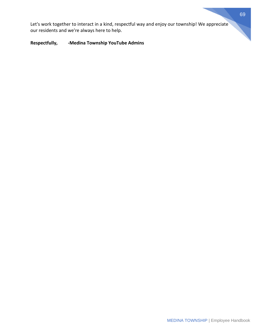Let's work together to interact in a kind, respectful way and enjoy our township! We appreciate our residents and we're always here to help.

#### **Respectfully, -Medina Township YouTube Admins**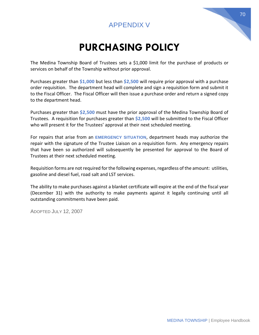# APPENDIX V

# **PURCHASING POLICY**

The Medina Township Board of Trustees sets a \$1,000 limit for the purchase of products or services on behalf of the Township without prior approval.

Purchases greater than **\$1,000** but less than **\$2,500** will require prior approval with a purchase order requisition. The department head will complete and sign a requisition form and submit it to the Fiscal Officer. The Fiscal Officer will then issue a purchase order and return a signed copy to the department head.

Purchases greater than **\$2,500** must have the prior approval of the Medina Township Board of Trustees. A requisition for purchases greater than **\$2,500** will be submitted to the Fiscal Officer who will present it for the Trustees' approval at their next scheduled meeting.

For repairs that arise from an **EMERGENCY SITUATION**, department heads may authorize the repair with the signature of the Trustee Liaison on a requisition form. Any emergency repairs that have been so authorized will subsequently be presented for approval to the Board of Trustees at their next scheduled meeting.

Requisition forms are not required for the following expenses, regardless of the amount: utilities, gasoline and diesel fuel, road salt and LST services.

The ability to make purchases against a blanket certificate will expire at the end of the fiscal year (December 31) with the authority to make payments against it legally continuing until all outstanding commitments have been paid.

ADOPTED JULY 12, 2007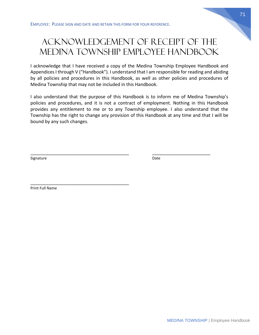# Acknowledgement of Receipt of the Medina Township Employee Handbook

I acknowledge that I have received a copy of the Medina Township Employee Handbook and Appendices I through V ("Handbook"). I understand that I am responsible for reading and abiding by all policies and procedures in this Handbook, as well as other policies and procedures of Medina Township that may not be included in this Handbook.

I also understand that the purpose of this Handbook is to inform me of Medina Township's policies and procedures, and it is not a contract of employment. Nothing in this Handbook provides any entitlement to me or to any Township employee. I also understand that the Township has the right to change any provision of this Handbook at any time and that I will be bound by any such changes.

\_\_\_\_\_\_\_\_\_\_\_\_\_\_\_\_\_\_\_\_\_\_\_\_\_\_\_\_\_\_\_\_\_\_\_\_\_\_\_ \_\_\_\_\_\_\_\_\_\_\_\_\_\_\_\_\_\_\_\_\_\_\_

Signature Date Date Communications and Date Date Date

Print Full Name

\_\_\_\_\_\_\_\_\_\_\_\_\_\_\_\_\_\_\_\_\_\_\_\_\_\_\_\_\_\_\_\_\_\_\_\_\_\_\_